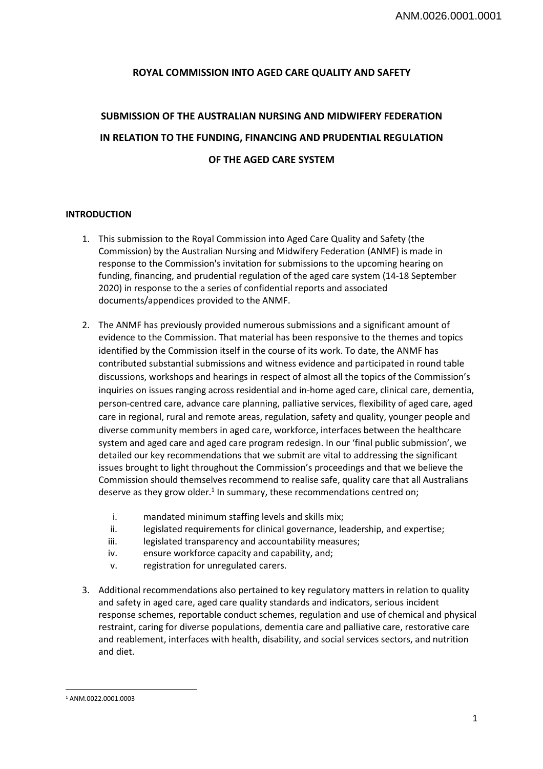## **ROYAL COMMISSION INTO AGED CARE QUALITY AND SAFETY**

# **SUBMISSION OF THE AUSTRALIAN NURSING AND MIDWIFERY FEDERATION IN RELATION TO THE FUNDING, FINANCING AND PRUDENTIAL REGULATION OF THE AGED CARE SYSTEM**

### **INTRODUCTION**

- 1. This submission to the Royal Commission into Aged Care Quality and Safety (the Commission) by the Australian Nursing and Midwifery Federation (ANMF) is made in response to the Commission's invitation for submissions to the upcoming hearing on funding, financing, and prudential regulation of the aged care system (14-18 September 2020) in response to the a series of confidential reports and associated documents/appendices provided to the ANMF.
- 2. The ANMF has previously provided numerous submissions and a significant amount of evidence to the Commission. That material has been responsive to the themes and topics identified by the Commission itself in the course of its work. To date, the ANMF has contributed substantial submissions and witness evidence and participated in round table discussions, workshops and hearings in respect of almost all the topics of the Commission's inquiries on issues ranging across residential and in-home aged care, clinical care, dementia, person-centred care, advance care planning, palliative services, flexibility of aged care, aged care in regional, rural and remote areas, regulation, safety and quality, younger people and diverse community members in aged care, workforce, interfaces between the healthcare system and aged care and aged care program redesign. In our 'final public submission', we detailed our key recommendations that we submit are vital to addressing the significant issues brought to light throughout the Commission's proceedings and that we believe the Commission should themselves recommend to realise safe, quality care that all Australians deserve as they grow older.<sup>1</sup> In summary, these recommendations centred on;
	- i. mandated minimum staffing levels and skills mix;
	- ii. legislated requirements for clinical governance, leadership, and expertise;
	- iii. legislated transparency and accountability measures;
	- iv. ensure workforce capacity and capability, and;
	- v. registration for unregulated carers.
- 3. Additional recommendations also pertained to key regulatory matters in relation to quality and safety in aged care, aged care quality standards and indicators, serious incident response schemes, reportable conduct schemes, regulation and use of chemical and physical restraint, caring for diverse populations, dementia care and palliative care, restorative care and reablement, interfaces with health, disability, and social services sectors, and nutrition and diet.

 $\overline{\phantom{a}}$ 1 ANM.0022.0001.0003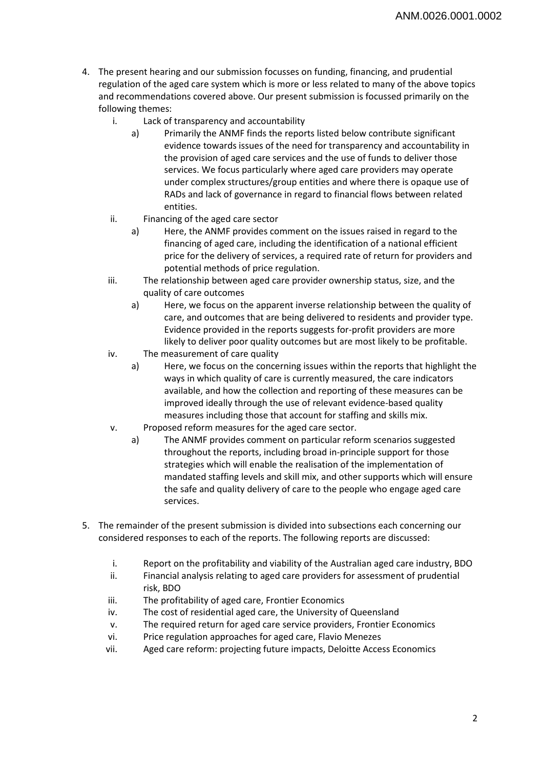- 4. The present hearing and our submission focusses on funding, financing, and prudential regulation of the aged care system which is more or less related to many of the above topics and recommendations covered above. Our present submission is focussed primarily on the following themes:
	- i. Lack of transparency and accountability
		- a) Primarily the ANMF finds the reports listed below contribute significant evidence towards issues of the need for transparency and accountability in the provision of aged care services and the use of funds to deliver those services. We focus particularly where aged care providers may operate under complex structures/group entities and where there is opaque use of RADs and lack of governance in regard to financial flows between related entities.
	- ii. Financing of the aged care sector
		- a) Here, the ANMF provides comment on the issues raised in regard to the financing of aged care, including the identification of a national efficient price for the delivery of services, a required rate of return for providers and potential methods of price regulation.
	- iii. The relationship between aged care provider ownership status, size, and the quality of care outcomes
		- a) Here, we focus on the apparent inverse relationship between the quality of care, and outcomes that are being delivered to residents and provider type. Evidence provided in the reports suggests for-profit providers are more likely to deliver poor quality outcomes but are most likely to be profitable.
	- iv. The measurement of care quality
		- a) Here, we focus on the concerning issues within the reports that highlight the ways in which quality of care is currently measured, the care indicators available, and how the collection and reporting of these measures can be improved ideally through the use of relevant evidence-based quality measures including those that account for staffing and skills mix.
	- v. Proposed reform measures for the aged care sector.
		- a) The ANMF provides comment on particular reform scenarios suggested throughout the reports, including broad in-principle support for those strategies which will enable the realisation of the implementation of mandated staffing levels and skill mix, and other supports which will ensure the safe and quality delivery of care to the people who engage aged care services.
- 5. The remainder of the present submission is divided into subsections each concerning our considered responses to each of the reports. The following reports are discussed:
	- i. Report on the profitability and viability of the Australian aged care industry, BDO
	- ii. Financial analysis relating to aged care providers for assessment of prudential risk, BDO
	- iii. The profitability of aged care, Frontier Economics
	- iv. The cost of residential aged care, the University of Queensland
	- v. The required return for aged care service providers, Frontier Economics
	- vi. Price regulation approaches for aged care, Flavio Menezes
	- vii. Aged care reform: projecting future impacts, Deloitte Access Economics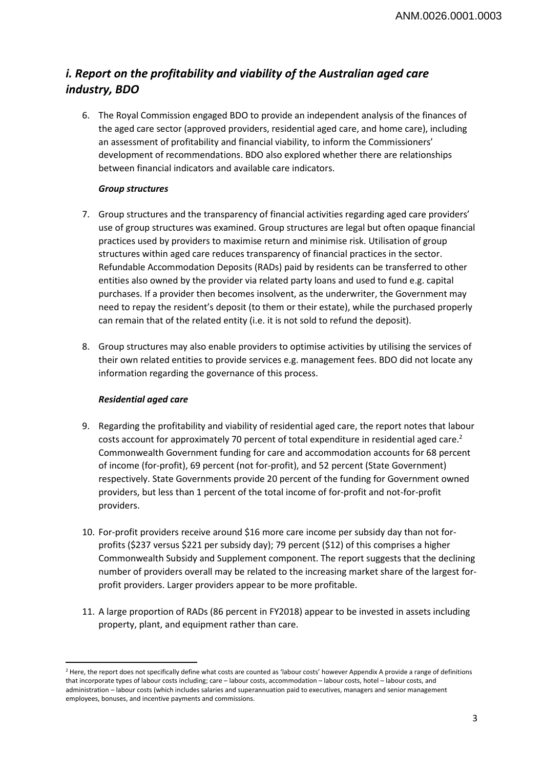## *i. Report on the profitability and viability of the Australian aged care industry, BDO*

6. The Royal Commission engaged BDO to provide an independent analysis of the finances of the aged care sector (approved providers, residential aged care, and home care), including an assessment of profitability and financial viability, to inform the Commissioners' development of recommendations. BDO also explored whether there are relationships between financial indicators and available care indicators.

## *Group structures*

- 7. Group structures and the transparency of financial activities regarding aged care providers' use of group structures was examined. Group structures are legal but often opaque financial practices used by providers to maximise return and minimise risk. Utilisation of group structures within aged care reduces transparency of financial practices in the sector. Refundable Accommodation Deposits (RADs) paid by residents can be transferred to other entities also owned by the provider via related party loans and used to fund e.g. capital purchases. If a provider then becomes insolvent, as the underwriter, the Government may need to repay the resident's deposit (to them or their estate), while the purchased properly can remain that of the related entity (i.e. it is not sold to refund the deposit).
- 8. Group structures may also enable providers to optimise activities by utilising the services of their own related entities to provide services e.g. management fees. BDO did not locate any information regarding the governance of this process.

## *Residential aged care*

l

- 9. Regarding the profitability and viability of residential aged care, the report notes that labour costs account for approximately 70 percent of total expenditure in residential aged care.<sup>2</sup> Commonwealth Government funding for care and accommodation accounts for 68 percent of income (for-profit), 69 percent (not for-profit), and 52 percent (State Government) respectively. State Governments provide 20 percent of the funding for Government owned providers, but less than 1 percent of the total income of for-profit and not-for-profit providers.
- 10. For-profit providers receive around \$16 more care income per subsidy day than not forprofits (\$237 versus \$221 per subsidy day); 79 percent (\$12) of this comprises a higher Commonwealth Subsidy and Supplement component. The report suggests that the declining number of providers overall may be related to the increasing market share of the largest forprofit providers. Larger providers appear to be more profitable.
- 11. A large proportion of RADs (86 percent in FY2018) appear to be invested in assets including property, plant, and equipment rather than care.

<sup>&</sup>lt;sup>2</sup> Here, the report does not specifically define what costs are counted as 'labour costs' however Appendix A provide a range of definitions that incorporate types of labour costs including; care – labour costs, accommodation – labour costs, hotel – labour costs, and administration – labour costs (which includes salaries and superannuation paid to executives, managers and senior management employees, bonuses, and incentive payments and commissions.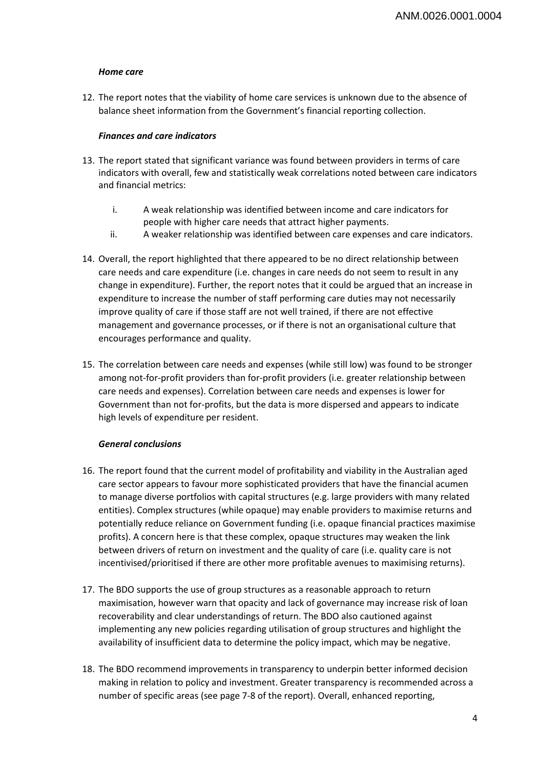## *Home care*

12. The report notes that the viability of home care services is unknown due to the absence of balance sheet information from the Government's financial reporting collection.

### *Finances and care indicators*

- 13. The report stated that significant variance was found between providers in terms of care indicators with overall, few and statistically weak correlations noted between care indicators and financial metrics:
	- i. A weak relationship was identified between income and care indicators for people with higher care needs that attract higher payments.
	- ii. A weaker relationship was identified between care expenses and care indicators.
- 14. Overall, the report highlighted that there appeared to be no direct relationship between care needs and care expenditure (i.e. changes in care needs do not seem to result in any change in expenditure). Further, the report notes that it could be argued that an increase in expenditure to increase the number of staff performing care duties may not necessarily improve quality of care if those staff are not well trained, if there are not effective management and governance processes, or if there is not an organisational culture that encourages performance and quality.
- 15. The correlation between care needs and expenses (while still low) was found to be stronger among not-for-profit providers than for-profit providers (i.e. greater relationship between care needs and expenses). Correlation between care needs and expenses is lower for Government than not for-profits, but the data is more dispersed and appears to indicate high levels of expenditure per resident.

## *General conclusions*

- 16. The report found that the current model of profitability and viability in the Australian aged care sector appears to favour more sophisticated providers that have the financial acumen to manage diverse portfolios with capital structures (e.g. large providers with many related entities). Complex structures (while opaque) may enable providers to maximise returns and potentially reduce reliance on Government funding (i.e. opaque financial practices maximise profits). A concern here is that these complex, opaque structures may weaken the link between drivers of return on investment and the quality of care (i.e. quality care is not incentivised/prioritised if there are other more profitable avenues to maximising returns).
- 17. The BDO supports the use of group structures as a reasonable approach to return maximisation, however warn that opacity and lack of governance may increase risk of loan recoverability and clear understandings of return. The BDO also cautioned against implementing any new policies regarding utilisation of group structures and highlight the availability of insufficient data to determine the policy impact, which may be negative.
- 18. The BDO recommend improvements in transparency to underpin better informed decision making in relation to policy and investment. Greater transparency is recommended across a number of specific areas (see page 7-8 of the report). Overall, enhanced reporting,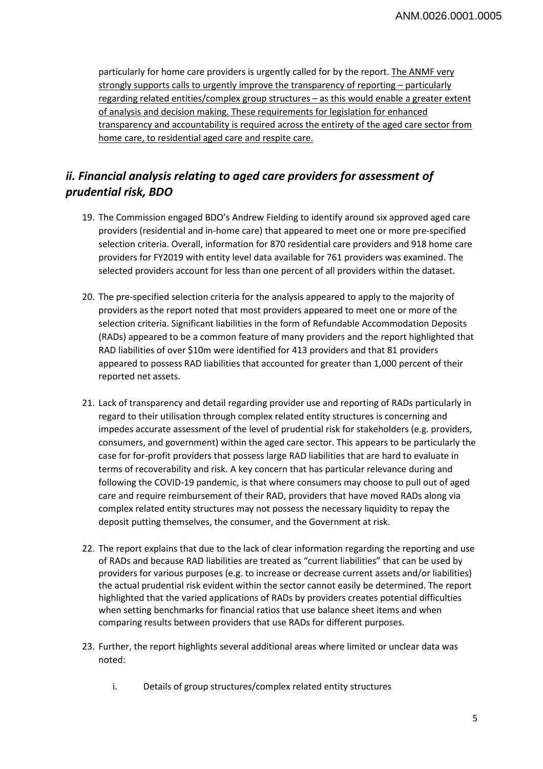particularly for home care providers is urgently called for by the report. The ANMF very strongly supports calls to urgently improve the transparency of reporting – particularly regarding related entities/complex group structures – as this would enable a greater extent of analysis and decision making. These requirements for legislation for enhanced transparency and accountability is required across the entirety of the aged care sector from home care, to residential aged care and respite care.

## *ii. Financial analysis relating to aged care providers for assessment of prudential risk, BDO*

- 19. The Commission engaged BDO's Andrew Fielding to identify around six approved aged care providers (residential and in-home care) that appeared to meet one or more pre-specified selection criteria. Overall, information for 870 residential care providers and 918 home care providers for FY2019 with entity level data available for 761 providers was examined. The selected providers account for less than one percent of all providers within the dataset.
- 20. The pre-specified selection criteria for the analysis appeared to apply to the majority of providers as the report noted that most providers appeared to meet one or more of the selection criteria. Significant liabilities in the form of Refundable Accommodation Deposits (RADs) appeared to be a common feature of many providers and the report highlighted that RAD liabilities of over \$10m were identified for 413 providers and that 81 providers appeared to possess RAD liabilities that accounted for greater than 1,000 percent of their reported net assets.
- 21. Lack of transparency and detail regarding provider use and reporting of RADs particularly in regard to their utilisation through complex related entity structures is concerning and impedes accurate assessment of the level of prudential risk for stakeholders (e.g. providers, consumers, and government) within the aged care sector. This appears to be particularly the case for for-profit providers that possess large RAD liabilities that are hard to evaluate in terms of recoverability and risk. A key concern that has particular relevance during and following the COVID-19 pandemic, is that where consumers may choose to pull out of aged care and require reimbursement of their RAD, providers that have moved RADs along via complex related entity structures may not possess the necessary liquidity to repay the deposit putting themselves, the consumer, and the Government at risk.
- 22. The report explains that due to the lack of clear information regarding the reporting and use of RADs and because RAD liabilities are treated as "current liabilities" that can be used by providers for various purposes (e.g. to increase or decrease current assets and/or liabilities) the actual prudential risk evident within the sector cannot easily be determined. The report highlighted that the varied applications of RADs by providers creates potential difficulties when setting benchmarks for financial ratios that use balance sheet items and when comparing results between providers that use RADs for different purposes.
- 23. Further, the report highlights several additional areas where limited or unclear data was noted:
	- i. Details of group structures/complex related entity structures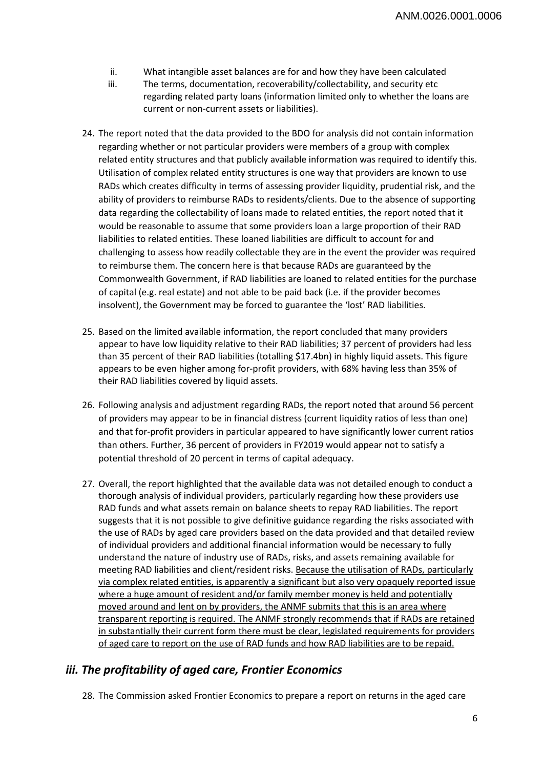- ii. What intangible asset balances are for and how they have been calculated
- iii. The terms, documentation, recoverability/collectability, and security etc regarding related party loans (information limited only to whether the loans are current or non-current assets or liabilities).
- 24. The report noted that the data provided to the BDO for analysis did not contain information regarding whether or not particular providers were members of a group with complex related entity structures and that publicly available information was required to identify this. Utilisation of complex related entity structures is one way that providers are known to use RADs which creates difficulty in terms of assessing provider liquidity, prudential risk, and the ability of providers to reimburse RADs to residents/clients. Due to the absence of supporting data regarding the collectability of loans made to related entities, the report noted that it would be reasonable to assume that some providers loan a large proportion of their RAD liabilities to related entities. These loaned liabilities are difficult to account for and challenging to assess how readily collectable they are in the event the provider was required to reimburse them. The concern here is that because RADs are guaranteed by the Commonwealth Government, if RAD liabilities are loaned to related entities for the purchase of capital (e.g. real estate) and not able to be paid back (i.e. if the provider becomes insolvent), the Government may be forced to guarantee the 'lost' RAD liabilities.
- 25. Based on the limited available information, the report concluded that many providers appear to have low liquidity relative to their RAD liabilities; 37 percent of providers had less than 35 percent of their RAD liabilities (totalling \$17.4bn) in highly liquid assets. This figure appears to be even higher among for-profit providers, with 68% having less than 35% of their RAD liabilities covered by liquid assets.
- 26. Following analysis and adjustment regarding RADs, the report noted that around 56 percent of providers may appear to be in financial distress (current liquidity ratios of less than one) and that for-profit providers in particular appeared to have significantly lower current ratios than others. Further, 36 percent of providers in FY2019 would appear not to satisfy a potential threshold of 20 percent in terms of capital adequacy.
- 27. Overall, the report highlighted that the available data was not detailed enough to conduct a thorough analysis of individual providers, particularly regarding how these providers use RAD funds and what assets remain on balance sheets to repay RAD liabilities. The report suggests that it is not possible to give definitive guidance regarding the risks associated with the use of RADs by aged care providers based on the data provided and that detailed review of individual providers and additional financial information would be necessary to fully understand the nature of industry use of RADs, risks, and assets remaining available for meeting RAD liabilities and client/resident risks. Because the utilisation of RADs, particularly via complex related entities, is apparently a significant but also very opaquely reported issue where a huge amount of resident and/or family member money is held and potentially moved around and lent on by providers, the ANMF submits that this is an area where transparent reporting is required. The ANMF strongly recommends that if RADs are retained in substantially their current form there must be clear, legislated requirements for providers of aged care to report on the use of RAD funds and how RAD liabilities are to be repaid.

## *iii. The profitability of aged care, Frontier Economics*

28. The Commission asked Frontier Economics to prepare a report on returns in the aged care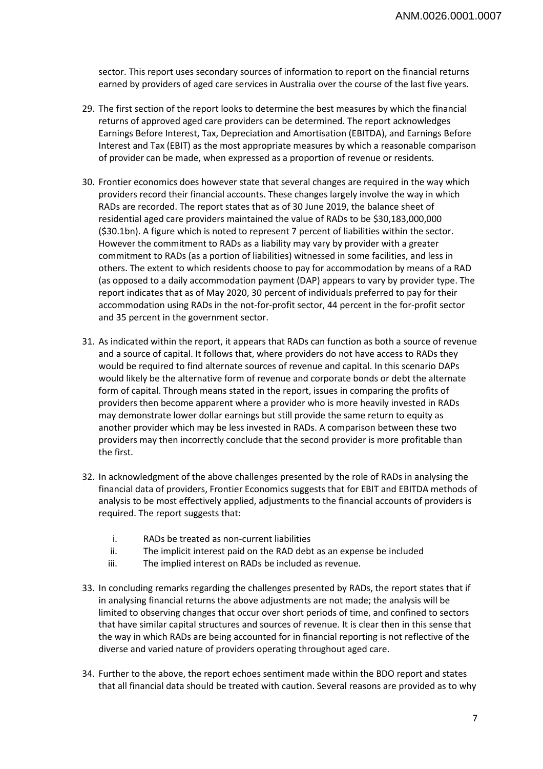sector. This report uses secondary sources of information to report on the financial returns earned by providers of aged care services in Australia over the course of the last five years.

- 29. The first section of the report looks to determine the best measures by which the financial returns of approved aged care providers can be determined. The report acknowledges Earnings Before Interest, Tax, Depreciation and Amortisation (EBITDA), and Earnings Before Interest and Tax (EBIT) as the most appropriate measures by which a reasonable comparison of provider can be made, when expressed as a proportion of revenue or residents.
- 30. Frontier economics does however state that several changes are required in the way which providers record their financial accounts. These changes largely involve the way in which RADs are recorded. The report states that as of 30 June 2019, the balance sheet of residential aged care providers maintained the value of RADs to be \$30,183,000,000 (\$30.1bn). A figure which is noted to represent 7 percent of liabilities within the sector. However the commitment to RADs as a liability may vary by provider with a greater commitment to RADs (as a portion of liabilities) witnessed in some facilities, and less in others. The extent to which residents choose to pay for accommodation by means of a RAD (as opposed to a daily accommodation payment (DAP) appears to vary by provider type. The report indicates that as of May 2020, 30 percent of individuals preferred to pay for their accommodation using RADs in the not-for-profit sector, 44 percent in the for-profit sector and 35 percent in the government sector.
- 31. As indicated within the report, it appears that RADs can function as both a source of revenue and a source of capital. It follows that, where providers do not have access to RADs they would be required to find alternate sources of revenue and capital. In this scenario DAPs would likely be the alternative form of revenue and corporate bonds or debt the alternate form of capital. Through means stated in the report, issues in comparing the profits of providers then become apparent where a provider who is more heavily invested in RADs may demonstrate lower dollar earnings but still provide the same return to equity as another provider which may be less invested in RADs. A comparison between these two providers may then incorrectly conclude that the second provider is more profitable than the first.
- 32. In acknowledgment of the above challenges presented by the role of RADs in analysing the financial data of providers, Frontier Economics suggests that for EBIT and EBITDA methods of analysis to be most effectively applied, adjustments to the financial accounts of providers is required. The report suggests that:
	- i. RADs be treated as non-current liabilities
	- ii. The implicit interest paid on the RAD debt as an expense be included
	- iii. The implied interest on RADs be included as revenue.
- 33. In concluding remarks regarding the challenges presented by RADs, the report states that if in analysing financial returns the above adjustments are not made; the analysis will be limited to observing changes that occur over short periods of time, and confined to sectors that have similar capital structures and sources of revenue. It is clear then in this sense that the way in which RADs are being accounted for in financial reporting is not reflective of the diverse and varied nature of providers operating throughout aged care.
- 34. Further to the above, the report echoes sentiment made within the BDO report and states that all financial data should be treated with caution. Several reasons are provided as to why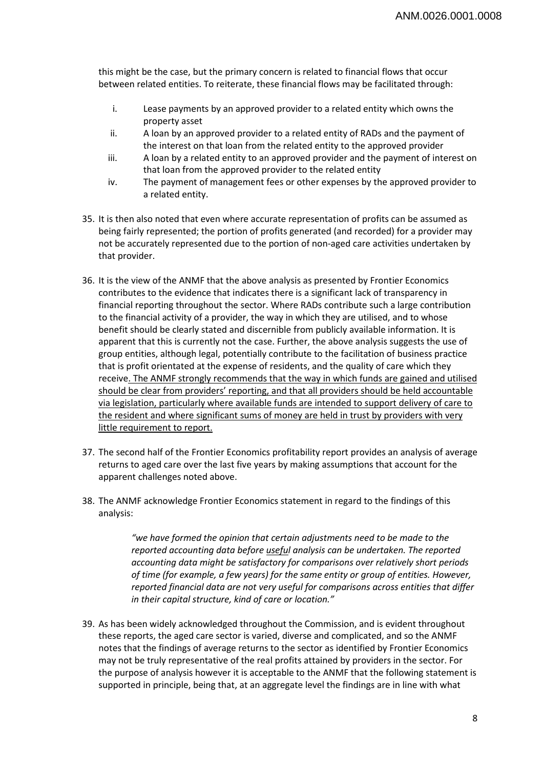this might be the case, but the primary concern is related to financial flows that occur between related entities. To reiterate, these financial flows may be facilitated through:

- i. Lease payments by an approved provider to a related entity which owns the property asset
- ii. A loan by an approved provider to a related entity of RADs and the payment of the interest on that loan from the related entity to the approved provider
- iii. A loan by a related entity to an approved provider and the payment of interest on that loan from the approved provider to the related entity
- iv. The payment of management fees or other expenses by the approved provider to a related entity.
- 35. It is then also noted that even where accurate representation of profits can be assumed as being fairly represented; the portion of profits generated (and recorded) for a provider may not be accurately represented due to the portion of non-aged care activities undertaken by that provider.
- 36. It is the view of the ANMF that the above analysis as presented by Frontier Economics contributes to the evidence that indicates there is a significant lack of transparency in financial reporting throughout the sector. Where RADs contribute such a large contribution to the financial activity of a provider, the way in which they are utilised, and to whose benefit should be clearly stated and discernible from publicly available information. It is apparent that this is currently not the case. Further, the above analysis suggests the use of group entities, although legal, potentially contribute to the facilitation of business practice that is profit orientated at the expense of residents, and the quality of care which they receive. The ANMF strongly recommends that the way in which funds are gained and utilised should be clear from providers' reporting, and that all providers should be held accountable via legislation, particularly where available funds are intended to support delivery of care to the resident and where significant sums of money are held in trust by providers with very little requirement to report.
- 37. The second half of the Frontier Economics profitability report provides an analysis of average returns to aged care over the last five years by making assumptions that account for the apparent challenges noted above.
- 38. The ANMF acknowledge Frontier Economics statement in regard to the findings of this analysis:

*"we have formed the opinion that certain adjustments need to be made to the reported accounting data before useful analysis can be undertaken. The reported accounting data might be satisfactory for comparisons over relatively short periods of time (for example, a few years) for the same entity or group of entities. However, reported financial data are not very useful for comparisons across entities that differ in their capital structure, kind of care or location."* 

39. As has been widely acknowledged throughout the Commission, and is evident throughout these reports, the aged care sector is varied, diverse and complicated, and so the ANMF notes that the findings of average returns to the sector as identified by Frontier Economics may not be truly representative of the real profits attained by providers in the sector. For the purpose of analysis however it is acceptable to the ANMF that the following statement is supported in principle, being that, at an aggregate level the findings are in line with what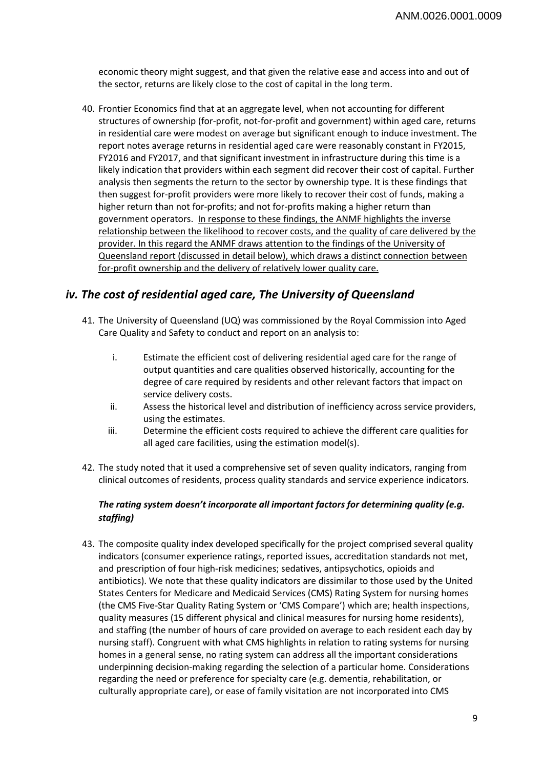economic theory might suggest, and that given the relative ease and access into and out of the sector, returns are likely close to the cost of capital in the long term.

40. Frontier Economics find that at an aggregate level, when not accounting for different structures of ownership (for-profit, not-for-profit and government) within aged care, returns in residential care were modest on average but significant enough to induce investment. The report notes average returns in residential aged care were reasonably constant in FY2015, FY2016 and FY2017, and that significant investment in infrastructure during this time is a likely indication that providers within each segment did recover their cost of capital. Further analysis then segments the return to the sector by ownership type. It is these findings that then suggest for-profit providers were more likely to recover their cost of funds, making a higher return than not for-profits; and not for-profits making a higher return than government operators. In response to these findings, the ANMF highlights the inverse relationship between the likelihood to recover costs, and the quality of care delivered by the provider. In this regard the ANMF draws attention to the findings of the University of Queensland report (discussed in detail below), which draws a distinct connection between for-profit ownership and the delivery of relatively lower quality care.

## *iv. The cost of residential aged care, The University of Queensland*

- 41. The University of Queensland (UQ) was commissioned by the Royal Commission into Aged Care Quality and Safety to conduct and report on an analysis to:
	- i. Estimate the efficient cost of delivering residential aged care for the range of output quantities and care qualities observed historically, accounting for the degree of care required by residents and other relevant factors that impact on service delivery costs.
	- ii. Assess the historical level and distribution of inefficiency across service providers, using the estimates.
	- iii. Determine the efficient costs required to achieve the different care qualities for all aged care facilities, using the estimation model(s).
- 42. The study noted that it used a comprehensive set of seven quality indicators, ranging from clinical outcomes of residents, process quality standards and service experience indicators.

## *The rating system doesn't incorporate all important factors for determining quality (e.g. staffing)*

43. The composite quality index developed specifically for the project comprised several quality indicators (consumer experience ratings, reported issues, accreditation standards not met, and prescription of four high-risk medicines; sedatives, antipsychotics, opioids and antibiotics). We note that these quality indicators are dissimilar to those used by the United States Centers for Medicare and Medicaid Services (CMS) Rating System for nursing homes (the CMS Five-Star Quality Rating System or 'CMS Compare') which are; health inspections, quality measures (15 different physical and clinical measures for nursing home residents), and staffing (the number of hours of care provided on average to each resident each day by nursing staff). Congruent with what CMS highlights in relation to rating systems for nursing homes in a general sense, no rating system can address all the important considerations underpinning decision-making regarding the selection of a particular home. Considerations regarding the need or preference for specialty care (e.g. dementia, rehabilitation, or culturally appropriate care), or ease of family visitation are not incorporated into CMS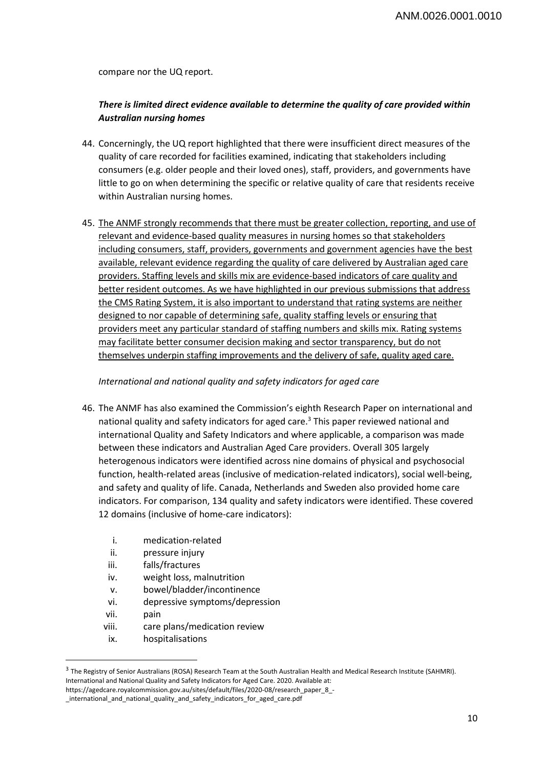compare nor the UQ report.

## *There is limited direct evidence available to determine the quality of care provided within Australian nursing homes*

- 44. Concerningly, the UQ report highlighted that there were insufficient direct measures of the quality of care recorded for facilities examined, indicating that stakeholders including consumers (e.g. older people and their loved ones), staff, providers, and governments have little to go on when determining the specific or relative quality of care that residents receive within Australian nursing homes.
- 45. The ANMF strongly recommends that there must be greater collection, reporting, and use of relevant and evidence-based quality measures in nursing homes so that stakeholders including consumers, staff, providers, governments and government agencies have the best available, relevant evidence regarding the quality of care delivered by Australian aged care providers. Staffing levels and skills mix are evidence-based indicators of care quality and better resident outcomes. As we have highlighted in our previous submissions that address the CMS Rating System, it is also important to understand that rating systems are neither designed to nor capable of determining safe, quality staffing levels or ensuring that providers meet any particular standard of staffing numbers and skills mix. Rating systems may facilitate better consumer decision making and sector transparency, but do not themselves underpin staffing improvements and the delivery of safe, quality aged care.

## *International and national quality and safety indicators for aged care*

- 46. The ANMF has also examined the Commission's eighth Research Paper on international and national quality and safety indicators for aged care.<sup>3</sup> This paper reviewed national and international Quality and Safety Indicators and where applicable, a comparison was made between these indicators and Australian Aged Care providers. Overall 305 largely heterogenous indicators were identified across nine domains of physical and psychosocial function, health-related areas (inclusive of medication-related indicators), social well-being, and safety and quality of life. Canada, Netherlands and Sweden also provided home care indicators. For comparison, 134 quality and safety indicators were identified. These covered 12 domains (inclusive of home-care indicators):
	- i. medication-related
	- ii. pressure injury
	- iii. falls/fractures
	- iv. weight loss, malnutrition
	- v. bowel/bladder/incontinence
	- vi. depressive symptoms/depression
	- vii. pain

 $\overline{a}$ 

- viii. care plans/medication review
- ix. hospitalisations

<sup>&</sup>lt;sup>3</sup> The Registry of Senior Australians (ROSA) Research Team at the South Australian Health and Medical Research Institute (SAHMRI). International and National Quality and Safety Indicators for Aged Care. 2020. Available at:

https://agedcare.royalcommission.gov.au/sites/default/files/2020-08/research\_paper\_8\_-

\_international\_and\_national\_quality\_and\_safety\_indicators\_for\_aged\_care.pdf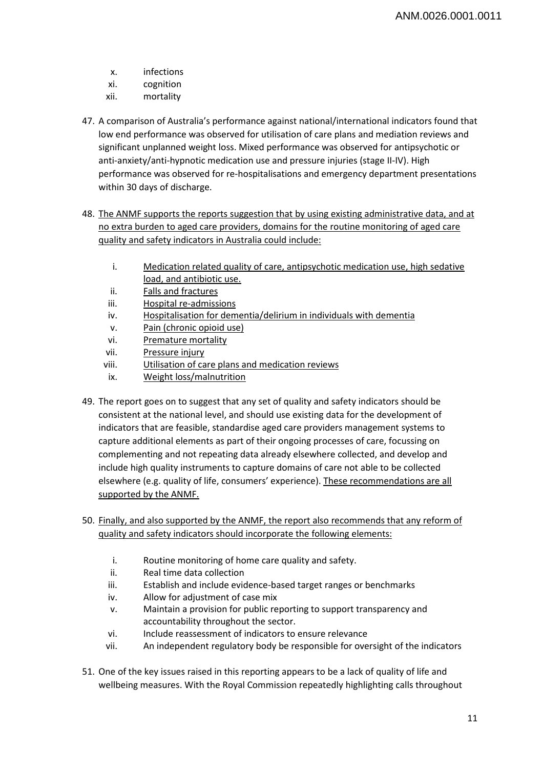- x. infections
- xi. cognition
- xii. mortality
- 47. A comparison of Australia's performance against national/international indicators found that low end performance was observed for utilisation of care plans and mediation reviews and significant unplanned weight loss. Mixed performance was observed for antipsychotic or anti-anxiety/anti-hypnotic medication use and pressure injuries (stage II-IV). High performance was observed for re-hospitalisations and emergency department presentations within 30 days of discharge.
- 48. The ANMF supports the reports suggestion that by using existing administrative data, and at no extra burden to aged care providers, domains for the routine monitoring of aged care quality and safety indicators in Australia could include:
	- i. Medication related quality of care, antipsychotic medication use, high sedative load, and antibiotic use.
	- ii. Falls and fractures
	- iii. Hospital re-admissions
	- iv. Hospitalisation for dementia/delirium in individuals with dementia
	- v. Pain (chronic opioid use)
	- vi. Premature mortality
	- vii. Pressure injury
	- viii. Utilisation of care plans and medication reviews
	- ix. Weight loss/malnutrition
- 49. The report goes on to suggest that any set of quality and safety indicators should be consistent at the national level, and should use existing data for the development of indicators that are feasible, standardise aged care providers management systems to capture additional elements as part of their ongoing processes of care, focussing on complementing and not repeating data already elsewhere collected, and develop and include high quality instruments to capture domains of care not able to be collected elsewhere (e.g. quality of life, consumers' experience). These recommendations are all supported by the ANMF.
- 50. Finally, and also supported by the ANMF, the report also recommends that any reform of quality and safety indicators should incorporate the following elements:
	- i. Routine monitoring of home care quality and safety.
	- ii. Real time data collection
	- iii. Establish and include evidence-based target ranges or benchmarks
	- iv. Allow for adjustment of case mix
	- v. Maintain a provision for public reporting to support transparency and accountability throughout the sector.
	- vi. Include reassessment of indicators to ensure relevance
	- vii. An independent regulatory body be responsible for oversight of the indicators
- 51. One of the key issues raised in this reporting appears to be a lack of quality of life and wellbeing measures. With the Royal Commission repeatedly highlighting calls throughout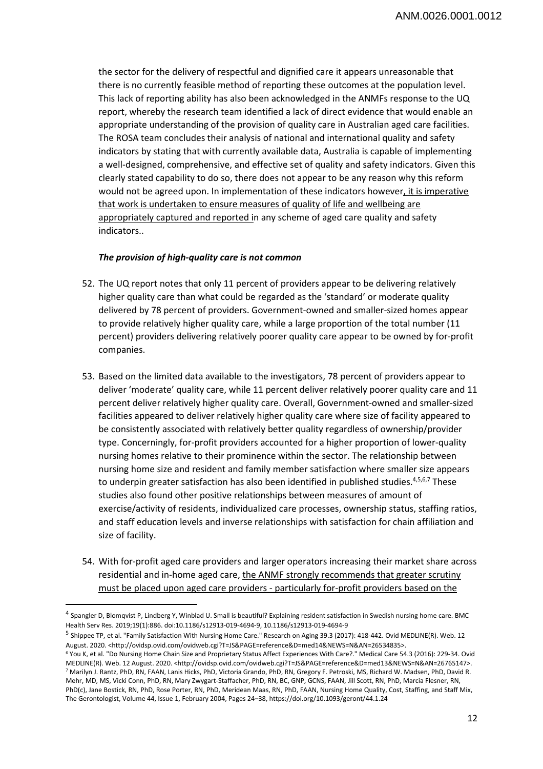the sector for the delivery of respectful and dignified care it appears unreasonable that there is no currently feasible method of reporting these outcomes at the population level. This lack of reporting ability has also been acknowledged in the ANMFs response to the UQ report, whereby the research team identified a lack of direct evidence that would enable an appropriate understanding of the provision of quality care in Australian aged care facilities. The ROSA team concludes their analysis of national and international quality and safety indicators by stating that with currently available data, Australia is capable of implementing a well-designed, comprehensive, and effective set of quality and safety indicators. Given this clearly stated capability to do so, there does not appear to be any reason why this reform would not be agreed upon. In implementation of these indicators however, it is imperative that work is undertaken to ensure measures of quality of life and wellbeing are appropriately captured and reported in any scheme of aged care quality and safety indicators..

## *The provision of high-quality care is not common*

 $\overline{a}$ 

- 52. The UQ report notes that only 11 percent of providers appear to be delivering relatively higher quality care than what could be regarded as the 'standard' or moderate quality delivered by 78 percent of providers. Government-owned and smaller-sized homes appear to provide relatively higher quality care, while a large proportion of the total number (11 percent) providers delivering relatively poorer quality care appear to be owned by for-profit companies.
- 53. Based on the limited data available to the investigators, 78 percent of providers appear to deliver 'moderate' quality care, while 11 percent deliver relatively poorer quality care and 11 percent deliver relatively higher quality care. Overall, Government-owned and smaller-sized facilities appeared to deliver relatively higher quality care where size of facility appeared to be consistently associated with relatively better quality regardless of ownership/provider type. Concerningly, for-profit providers accounted for a higher proportion of lower-quality nursing homes relative to their prominence within the sector. The relationship between nursing home size and resident and family member satisfaction where smaller size appears to underpin greater satisfaction has also been identified in published studies.<sup>4,5,6,7</sup> These studies also found other positive relationships between measures of amount of exercise/activity of residents, individualized care processes, ownership status, staffing ratios, and staff education levels and inverse relationships with satisfaction for chain affiliation and size of facility.
- 54. With for-profit aged care providers and larger operators increasing their market share across residential and in-home aged care, the ANMF strongly recommends that greater scrutiny must be placed upon aged care providers - particularly for-profit providers based on the

<sup>4</sup> Spangler D, Blomqvist P, Lindberg Y, Winblad U. Small is beautiful? Explaining resident satisfaction in Swedish nursing home care. BMC Health Serv Res. 2019;19(1):886. doi:10.1186/s12913-019-4694-9, 10.1186/s12913-019-4694-9

<sup>5</sup> Shippee TP, et al. "Family Satisfaction With Nursing Home Care." Research on Aging 39.3 (2017): 418-442. Ovid MEDLINE(R). Web. 12 August. 2020. <http://ovidsp.ovid.com/ovidweb.cgi?T=JS&PAGE=reference&D=med14&NEWS=N&AN=26534835>.

<sup>6</sup> You K, et al. "Do Nursing Home Chain Size and Proprietary Status Affect Experiences With Care?." Medical Care 54.3 (2016): 229-34. Ovid MEDLINE(R). Web. 12 August. 2020. <http://ovidsp.ovid.com/ovidweb.cgi?T=JS&PAGE=reference&D=med13&NEWS=N&AN=26765147>. 7 Marilyn J. Rantz, PhD, RN, FAAN, Lanis Hicks, PhD, Victoria Grando, PhD, RN, Gregory F. Petroski, MS, Richard W. Madsen, PhD, David R. Mehr, MD, MS, Vicki Conn, PhD, RN, Mary Zwygart-Staffacher, PhD, RN, BC, GNP, GCNS, FAAN, Jill Scott, RN, PhD, Marcia Flesner, RN, PhD(c), Jane Bostick, RN, PhD, Rose Porter, RN, PhD, Meridean Maas, RN, PhD, FAAN, Nursing Home Quality, Cost, Staffing, and Staff Mix, The Gerontologist, Volume 44, Issue 1, February 2004, Pages 24–38, https://doi.org/10.1093/geront/44.1.24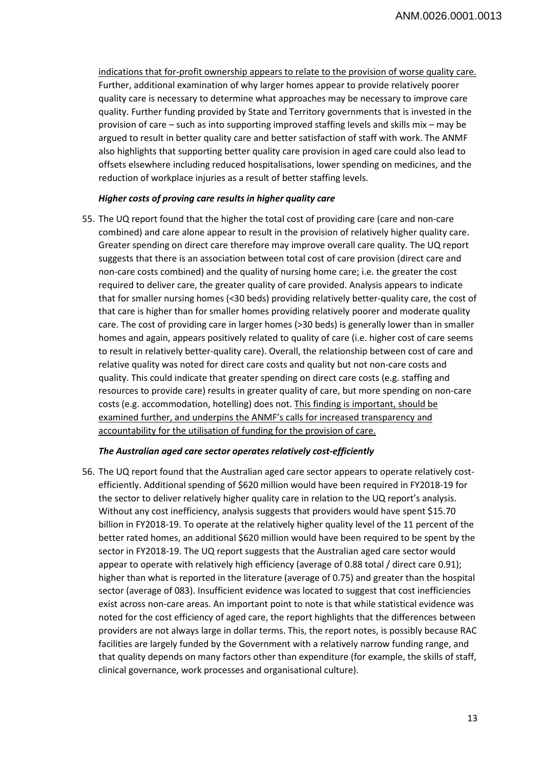indications that for-profit ownership appears to relate to the provision of worse quality care. Further, additional examination of why larger homes appear to provide relatively poorer quality care is necessary to determine what approaches may be necessary to improve care quality. Further funding provided by State and Territory governments that is invested in the provision of care – such as into supporting improved staffing levels and skills mix – may be argued to result in better quality care and better satisfaction of staff with work. The ANMF also highlights that supporting better quality care provision in aged care could also lead to offsets elsewhere including reduced hospitalisations, lower spending on medicines, and the reduction of workplace injuries as a result of better staffing levels.

#### *Higher costs of proving care results in higher quality care*

55. The UQ report found that the higher the total cost of providing care (care and non-care combined) and care alone appear to result in the provision of relatively higher quality care. Greater spending on direct care therefore may improve overall care quality. The UQ report suggests that there is an association between total cost of care provision (direct care and non-care costs combined) and the quality of nursing home care; i.e. the greater the cost required to deliver care, the greater quality of care provided. Analysis appears to indicate that for smaller nursing homes (<30 beds) providing relatively better-quality care, the cost of that care is higher than for smaller homes providing relatively poorer and moderate quality care. The cost of providing care in larger homes (>30 beds) is generally lower than in smaller homes and again, appears positively related to quality of care (i.e. higher cost of care seems to result in relatively better-quality care). Overall, the relationship between cost of care and relative quality was noted for direct care costs and quality but not non-care costs and quality. This could indicate that greater spending on direct care costs (e.g. staffing and resources to provide care) results in greater quality of care, but more spending on non-care costs (e.g. accommodation, hotelling) does not. This finding is important, should be examined further, and underpins the ANMF's calls for increased transparency and accountability for the utilisation of funding for the provision of care.

#### *The Australian aged care sector operates relatively cost-efficiently*

56. The UQ report found that the Australian aged care sector appears to operate relatively costefficiently. Additional spending of \$620 million would have been required in FY2018-19 for the sector to deliver relatively higher quality care in relation to the UQ report's analysis. Without any cost inefficiency, analysis suggests that providers would have spent \$15.70 billion in FY2018-19. To operate at the relatively higher quality level of the 11 percent of the better rated homes, an additional \$620 million would have been required to be spent by the sector in FY2018-19. The UQ report suggests that the Australian aged care sector would appear to operate with relatively high efficiency (average of 0.88 total / direct care 0.91); higher than what is reported in the literature (average of 0.75) and greater than the hospital sector (average of 083). Insufficient evidence was located to suggest that cost inefficiencies exist across non-care areas. An important point to note is that while statistical evidence was noted for the cost efficiency of aged care, the report highlights that the differences between providers are not always large in dollar terms. This, the report notes, is possibly because RAC facilities are largely funded by the Government with a relatively narrow funding range, and that quality depends on many factors other than expenditure (for example, the skills of staff, clinical governance, work processes and organisational culture).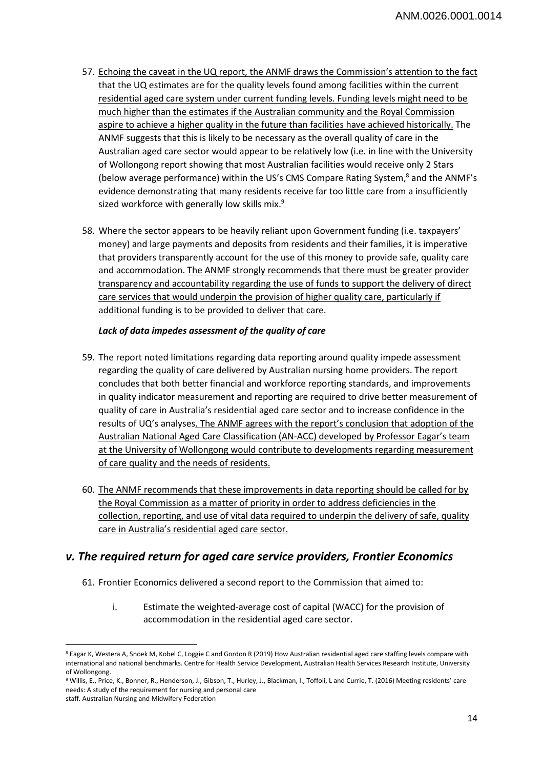- 57. Echoing the caveat in the UQ report, the ANMF draws the Commission's attention to the fact that the UQ estimates are for the quality levels found among facilities within the current residential aged care system under current funding levels. Funding levels might need to be much higher than the estimates if the Australian community and the Royal Commission aspire to achieve a higher quality in the future than facilities have achieved historically. The ANMF suggests that this is likely to be necessary as the overall quality of care in the Australian aged care sector would appear to be relatively low (i.e. in line with the University of Wollongong report showing that most Australian facilities would receive only 2 Stars (below average performance) within the US's CMS Compare Rating System,<sup>8</sup> and the ANMF's evidence demonstrating that many residents receive far too little care from a insufficiently sized workforce with generally low skills mix.<sup>9</sup>
- 58. Where the sector appears to be heavily reliant upon Government funding (i.e. taxpayers' money) and large payments and deposits from residents and their families, it is imperative that providers transparently account for the use of this money to provide safe, quality care and accommodation. The ANMF strongly recommends that there must be greater provider transparency and accountability regarding the use of funds to support the delivery of direct care services that would underpin the provision of higher quality care, particularly if additional funding is to be provided to deliver that care.

## *Lack of data impedes assessment of the quality of care*

- 59. The report noted limitations regarding data reporting around quality impede assessment regarding the quality of care delivered by Australian nursing home providers. The report concludes that both better financial and workforce reporting standards, and improvements in quality indicator measurement and reporting are required to drive better measurement of quality of care in Australia's residential aged care sector and to increase confidence in the results of UQ's analyses. The ANMF agrees with the report's conclusion that adoption of the Australian National Aged Care Classification (AN-ACC) developed by Professor Eagar's team at the University of Wollongong would contribute to developments regarding measurement of care quality and the needs of residents.
- 60. The ANMF recommends that these improvements in data reporting should be called for by the Royal Commission as a matter of priority in order to address deficiencies in the collection, reporting, and use of vital data required to underpin the delivery of safe, quality care in Australia's residential aged care sector.

## *v. The required return for aged care service providers, Frontier Economics*

- 61. Frontier Economics delivered a second report to the Commission that aimed to:
	- i. Estimate the weighted-average cost of capital (WACC) for the provision of accommodation in the residential aged care sector.

 $\overline{\phantom{a}}$ 8 Eagar K, Westera A, Snoek M, Kobel C, Loggie C and Gordon R (2019) How Australian residential aged care staffing levels compare with international and national benchmarks. Centre for Health Service Development, Australian Health Services Research Institute, University of Wollongong.

<sup>9</sup> Willis, E., Price, K., Bonner, R., Henderson, J., Gibson, T., Hurley, J., Blackman, I., Toffoli, L and Currie, T. (2016) Meeting residents' care needs: A study of the requirement for nursing and personal care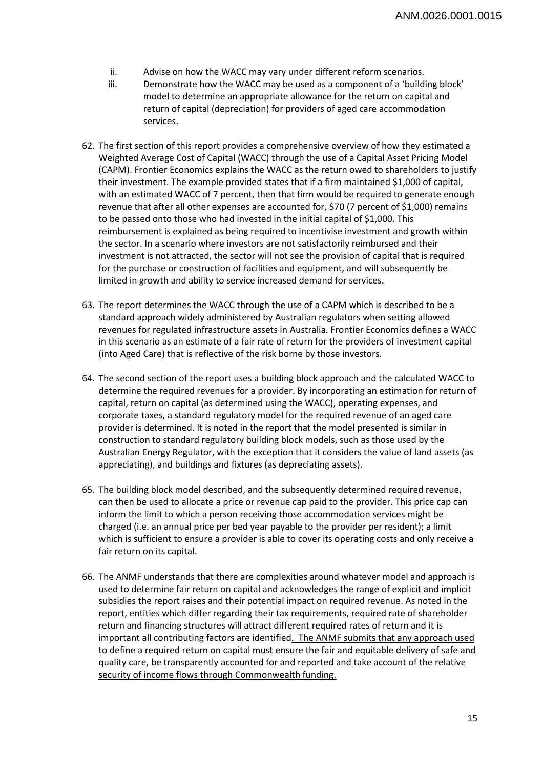- ii. Advise on how the WACC may vary under different reform scenarios.
- iii. Demonstrate how the WACC may be used as a component of a 'building block' model to determine an appropriate allowance for the return on capital and return of capital (depreciation) for providers of aged care accommodation services.
- 62. The first section of this report provides a comprehensive overview of how they estimated a Weighted Average Cost of Capital (WACC) through the use of a Capital Asset Pricing Model (CAPM). Frontier Economics explains the WACC as the return owed to shareholders to justify their investment. The example provided states that if a firm maintained \$1,000 of capital, with an estimated WACC of 7 percent, then that firm would be required to generate enough revenue that after all other expenses are accounted for, \$70 (7 percent of \$1,000) remains to be passed onto those who had invested in the initial capital of \$1,000. This reimbursement is explained as being required to incentivise investment and growth within the sector. In a scenario where investors are not satisfactorily reimbursed and their investment is not attracted, the sector will not see the provision of capital that is required for the purchase or construction of facilities and equipment, and will subsequently be limited in growth and ability to service increased demand for services.
- 63. The report determines the WACC through the use of a CAPM which is described to be a standard approach widely administered by Australian regulators when setting allowed revenues for regulated infrastructure assets in Australia. Frontier Economics defines a WACC in this scenario as an estimate of a fair rate of return for the providers of investment capital (into Aged Care) that is reflective of the risk borne by those investors.
- 64. The second section of the report uses a building block approach and the calculated WACC to determine the required revenues for a provider. By incorporating an estimation for return of capital, return on capital (as determined using the WACC), operating expenses, and corporate taxes, a standard regulatory model for the required revenue of an aged care provider is determined. It is noted in the report that the model presented is similar in construction to standard regulatory building block models, such as those used by the Australian Energy Regulator, with the exception that it considers the value of land assets (as appreciating), and buildings and fixtures (as depreciating assets).
- 65. The building block model described, and the subsequently determined required revenue, can then be used to allocate a price or revenue cap paid to the provider. This price cap can inform the limit to which a person receiving those accommodation services might be charged (i.e. an annual price per bed year payable to the provider per resident); a limit which is sufficient to ensure a provider is able to cover its operating costs and only receive a fair return on its capital.
- 66. The ANMF understands that there are complexities around whatever model and approach is used to determine fair return on capital and acknowledges the range of explicit and implicit subsidies the report raises and their potential impact on required revenue. As noted in the report, entities which differ regarding their tax requirements, required rate of shareholder return and financing structures will attract different required rates of return and it is important all contributing factors are identified. The ANMF submits that any approach used to define a required return on capital must ensure the fair and equitable delivery of safe and quality care, be transparently accounted for and reported and take account of the relative security of income flows through Commonwealth funding.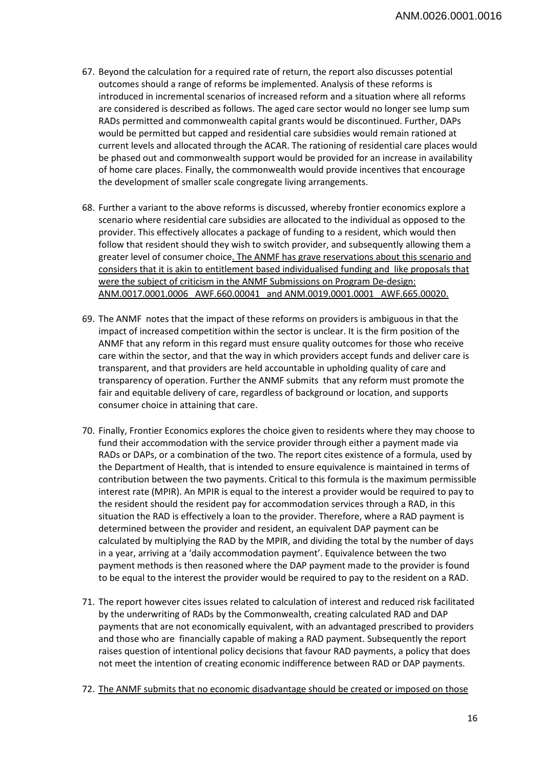- 67. Beyond the calculation for a required rate of return, the report also discusses potential outcomes should a range of reforms be implemented. Analysis of these reforms is introduced in incremental scenarios of increased reform and a situation where all reforms are considered is described as follows. The aged care sector would no longer see lump sum RADs permitted and commonwealth capital grants would be discontinued. Further, DAPs would be permitted but capped and residential care subsidies would remain rationed at current levels and allocated through the ACAR. The rationing of residential care places would be phased out and commonwealth support would be provided for an increase in availability of home care places. Finally, the commonwealth would provide incentives that encourage the development of smaller scale congregate living arrangements.
- 68. Further a variant to the above reforms is discussed, whereby frontier economics explore a scenario where residential care subsidies are allocated to the individual as opposed to the provider. This effectively allocates a package of funding to a resident, which would then follow that resident should they wish to switch provider, and subsequently allowing them a greater level of consumer choice. The ANMF has grave reservations about this scenario and considers that it is akin to entitlement based individualised funding and like proposals that were the subject of criticism in the ANMF Submissions on Program De-design: ANM.0017.0001.0006 AWF.660.00041 and ANM.0019.0001.0001 AWF.665.00020.
- 69. The ANMF notes that the impact of these reforms on providers is ambiguous in that the impact of increased competition within the sector is unclear. It is the firm position of the ANMF that any reform in this regard must ensure quality outcomes for those who receive care within the sector, and that the way in which providers accept funds and deliver care is transparent, and that providers are held accountable in upholding quality of care and transparency of operation. Further the ANMF submits that any reform must promote the fair and equitable delivery of care, regardless of background or location, and supports consumer choice in attaining that care.
- 70. Finally, Frontier Economics explores the choice given to residents where they may choose to fund their accommodation with the service provider through either a payment made via RADs or DAPs, or a combination of the two. The report cites existence of a formula, used by the Department of Health, that is intended to ensure equivalence is maintained in terms of contribution between the two payments. Critical to this formula is the maximum permissible interest rate (MPIR). An MPIR is equal to the interest a provider would be required to pay to the resident should the resident pay for accommodation services through a RAD, in this situation the RAD is effectively a loan to the provider. Therefore, where a RAD payment is determined between the provider and resident, an equivalent DAP payment can be calculated by multiplying the RAD by the MPIR, and dividing the total by the number of days in a year, arriving at a 'daily accommodation payment'. Equivalence between the two payment methods is then reasoned where the DAP payment made to the provider is found to be equal to the interest the provider would be required to pay to the resident on a RAD.
- 71. The report however cites issues related to calculation of interest and reduced risk facilitated by the underwriting of RADs by the Commonwealth, creating calculated RAD and DAP payments that are not economically equivalent, with an advantaged prescribed to providers and those who are financially capable of making a RAD payment. Subsequently the report raises question of intentional policy decisions that favour RAD payments, a policy that does not meet the intention of creating economic indifference between RAD or DAP payments.
- 72. The ANMF submits that no economic disadvantage should be created or imposed on those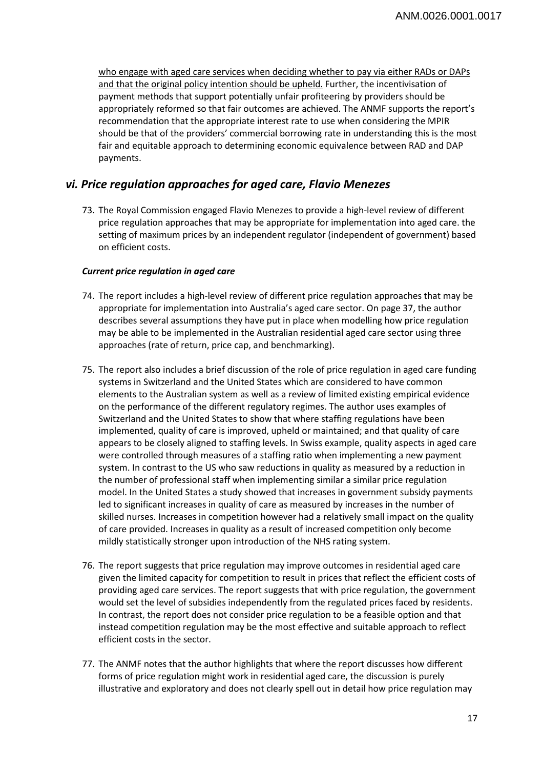who engage with aged care services when deciding whether to pay via either RADs or DAPs and that the original policy intention should be upheld. Further, the incentivisation of payment methods that support potentially unfair profiteering by providers should be appropriately reformed so that fair outcomes are achieved. The ANMF supports the report's recommendation that the appropriate interest rate to use when considering the MPIR should be that of the providers' commercial borrowing rate in understanding this is the most fair and equitable approach to determining economic equivalence between RAD and DAP payments.

## *vi. Price regulation approaches for aged care, Flavio Menezes*

73. The Royal Commission engaged Flavio Menezes to provide a high-level review of different price regulation approaches that may be appropriate for implementation into aged care. the setting of maximum prices by an independent regulator (independent of government) based on efficient costs.

## *Current price regulation in aged care*

- 74. The report includes a high-level review of different price regulation approaches that may be appropriate for implementation into Australia's aged care sector. On page 37, the author describes several assumptions they have put in place when modelling how price regulation may be able to be implemented in the Australian residential aged care sector using three approaches (rate of return, price cap, and benchmarking).
- 75. The report also includes a brief discussion of the role of price regulation in aged care funding systems in Switzerland and the United States which are considered to have common elements to the Australian system as well as a review of limited existing empirical evidence on the performance of the different regulatory regimes. The author uses examples of Switzerland and the United States to show that where staffing regulations have been implemented, quality of care is improved, upheld or maintained; and that quality of care appears to be closely aligned to staffing levels. In Swiss example, quality aspects in aged care were controlled through measures of a staffing ratio when implementing a new payment system. In contrast to the US who saw reductions in quality as measured by a reduction in the number of professional staff when implementing similar a similar price regulation model. In the United States a study showed that increases in government subsidy payments led to significant increases in quality of care as measured by increases in the number of skilled nurses. Increases in competition however had a relatively small impact on the quality of care provided. Increases in quality as a result of increased competition only become mildly statistically stronger upon introduction of the NHS rating system.
- 76. The report suggests that price regulation may improve outcomes in residential aged care given the limited capacity for competition to result in prices that reflect the efficient costs of providing aged care services. The report suggests that with price regulation, the government would set the level of subsidies independently from the regulated prices faced by residents. In contrast, the report does not consider price regulation to be a feasible option and that instead competition regulation may be the most effective and suitable approach to reflect efficient costs in the sector.
- 77. The ANMF notes that the author highlights that where the report discusses how different forms of price regulation might work in residential aged care, the discussion is purely illustrative and exploratory and does not clearly spell out in detail how price regulation may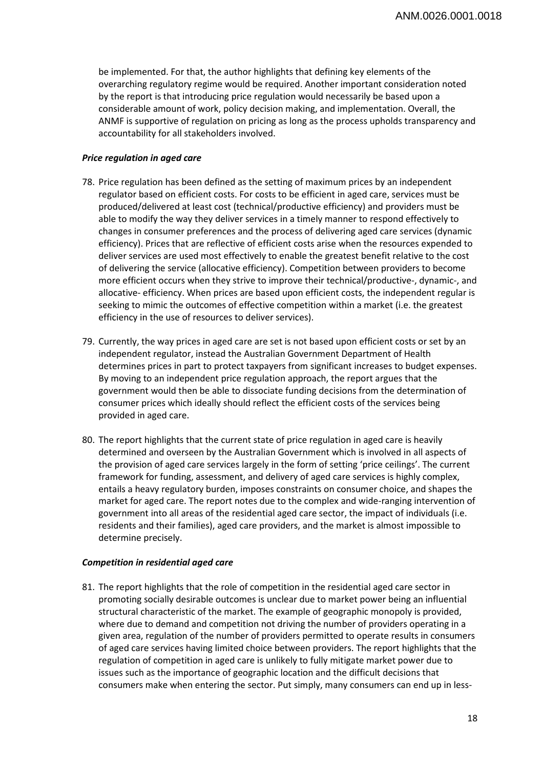be implemented. For that, the author highlights that defining key elements of the overarching regulatory regime would be required. Another important consideration noted by the report is that introducing price regulation would necessarily be based upon a considerable amount of work, policy decision making, and implementation. Overall, the ANMF is supportive of regulation on pricing as long as the process upholds transparency and accountability for all stakeholders involved.

#### *Price regulation in aged care*

- 78. Price regulation has been defined as the setting of maximum prices by an independent regulator based on efficient costs. For costs to be efficient in aged care, services must be produced/delivered at least cost (technical/productive efficiency) and providers must be able to modify the way they deliver services in a timely manner to respond effectively to changes in consumer preferences and the process of delivering aged care services (dynamic efficiency). Prices that are reflective of efficient costs arise when the resources expended to deliver services are used most effectively to enable the greatest benefit relative to the cost of delivering the service (allocative efficiency). Competition between providers to become more efficient occurs when they strive to improve their technical/productive-, dynamic-, and allocative- efficiency. When prices are based upon efficient costs, the independent regular is seeking to mimic the outcomes of effective competition within a market (i.e. the greatest efficiency in the use of resources to deliver services).
- 79. Currently, the way prices in aged care are set is not based upon efficient costs or set by an independent regulator, instead the Australian Government Department of Health determines prices in part to protect taxpayers from significant increases to budget expenses. By moving to an independent price regulation approach, the report argues that the government would then be able to dissociate funding decisions from the determination of consumer prices which ideally should reflect the efficient costs of the services being provided in aged care.
- 80. The report highlights that the current state of price regulation in aged care is heavily determined and overseen by the Australian Government which is involved in all aspects of the provision of aged care services largely in the form of setting 'price ceilings'. The current framework for funding, assessment, and delivery of aged care services is highly complex, entails a heavy regulatory burden, imposes constraints on consumer choice, and shapes the market for aged care. The report notes due to the complex and wide-ranging intervention of government into all areas of the residential aged care sector, the impact of individuals (i.e. residents and their families), aged care providers, and the market is almost impossible to determine precisely.

#### *Competition in residential aged care*

81. The report highlights that the role of competition in the residential aged care sector in promoting socially desirable outcomes is unclear due to market power being an influential structural characteristic of the market. The example of geographic monopoly is provided, where due to demand and competition not driving the number of providers operating in a given area, regulation of the number of providers permitted to operate results in consumers of aged care services having limited choice between providers. The report highlights that the regulation of competition in aged care is unlikely to fully mitigate market power due to issues such as the importance of geographic location and the difficult decisions that consumers make when entering the sector. Put simply, many consumers can end up in less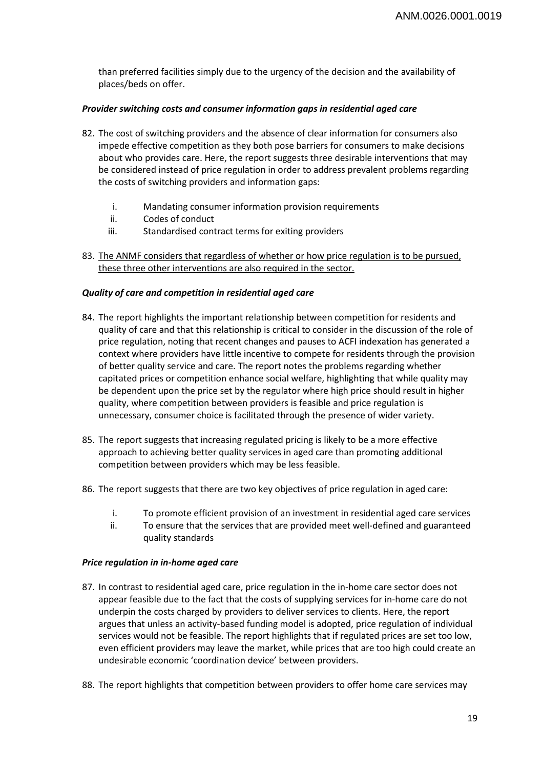than preferred facilities simply due to the urgency of the decision and the availability of places/beds on offer.

### *Provider switching costs and consumer information gaps in residential aged care*

- 82. The cost of switching providers and the absence of clear information for consumers also impede effective competition as they both pose barriers for consumers to make decisions about who provides care. Here, the report suggests three desirable interventions that may be considered instead of price regulation in order to address prevalent problems regarding the costs of switching providers and information gaps:
	- i. Mandating consumer information provision requirements
	- ii. Codes of conduct
	- iii. Standardised contract terms for exiting providers
- 83. The ANMF considers that regardless of whether or how price regulation is to be pursued, these three other interventions are also required in the sector.

#### *Quality of care and competition in residential aged care*

- 84. The report highlights the important relationship between competition for residents and quality of care and that this relationship is critical to consider in the discussion of the role of price regulation, noting that recent changes and pauses to ACFI indexation has generated a context where providers have little incentive to compete for residents through the provision of better quality service and care. The report notes the problems regarding whether capitated prices or competition enhance social welfare, highlighting that while quality may be dependent upon the price set by the regulator where high price should result in higher quality, where competition between providers is feasible and price regulation is unnecessary, consumer choice is facilitated through the presence of wider variety.
- 85. The report suggests that increasing regulated pricing is likely to be a more effective approach to achieving better quality services in aged care than promoting additional competition between providers which may be less feasible.
- 86. The report suggests that there are two key objectives of price regulation in aged care:
	- i. To promote efficient provision of an investment in residential aged care services
	- ii. To ensure that the services that are provided meet well-defined and guaranteed quality standards

#### *Price regulation in in-home aged care*

- 87. In contrast to residential aged care, price regulation in the in-home care sector does not appear feasible due to the fact that the costs of supplying services for in-home care do not underpin the costs charged by providers to deliver services to clients. Here, the report argues that unless an activity-based funding model is adopted, price regulation of individual services would not be feasible. The report highlights that if regulated prices are set too low, even efficient providers may leave the market, while prices that are too high could create an undesirable economic 'coordination device' between providers.
- 88. The report highlights that competition between providers to offer home care services may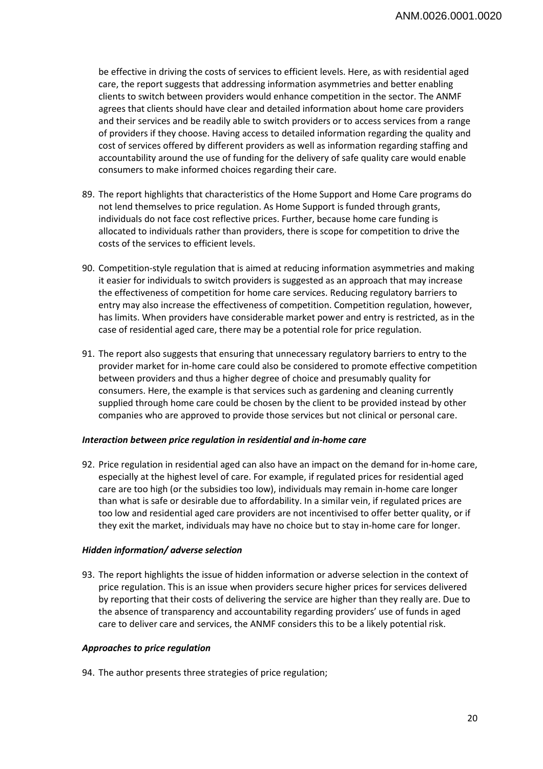be effective in driving the costs of services to efficient levels. Here, as with residential aged care, the report suggests that addressing information asymmetries and better enabling clients to switch between providers would enhance competition in the sector. The ANMF agrees that clients should have clear and detailed information about home care providers and their services and be readily able to switch providers or to access services from a range of providers if they choose. Having access to detailed information regarding the quality and cost of services offered by different providers as well as information regarding staffing and accountability around the use of funding for the delivery of safe quality care would enable consumers to make informed choices regarding their care.

- 89. The report highlights that characteristics of the Home Support and Home Care programs do not lend themselves to price regulation. As Home Support is funded through grants, individuals do not face cost reflective prices. Further, because home care funding is allocated to individuals rather than providers, there is scope for competition to drive the costs of the services to efficient levels.
- 90. Competition-style regulation that is aimed at reducing information asymmetries and making it easier for individuals to switch providers is suggested as an approach that may increase the effectiveness of competition for home care services. Reducing regulatory barriers to entry may also increase the effectiveness of competition. Competition regulation, however, has limits. When providers have considerable market power and entry is restricted, as in the case of residential aged care, there may be a potential role for price regulation.
- 91. The report also suggests that ensuring that unnecessary regulatory barriers to entry to the provider market for in-home care could also be considered to promote effective competition between providers and thus a higher degree of choice and presumably quality for consumers. Here, the example is that services such as gardening and cleaning currently supplied through home care could be chosen by the client to be provided instead by other companies who are approved to provide those services but not clinical or personal care.

#### *Interaction between price regulation in residential and in-home care*

92. Price regulation in residential aged can also have an impact on the demand for in-home care, especially at the highest level of care. For example, if regulated prices for residential aged care are too high (or the subsidies too low), individuals may remain in-home care longer than what is safe or desirable due to affordability. In a similar vein, if regulated prices are too low and residential aged care providers are not incentivised to offer better quality, or if they exit the market, individuals may have no choice but to stay in-home care for longer.

## *Hidden information/ adverse selection*

93. The report highlights the issue of hidden information or adverse selection in the context of price regulation. This is an issue when providers secure higher prices for services delivered by reporting that their costs of delivering the service are higher than they really are. Due to the absence of transparency and accountability regarding providers' use of funds in aged care to deliver care and services, the ANMF considers this to be a likely potential risk.

## *Approaches to price regulation*

94. The author presents three strategies of price regulation;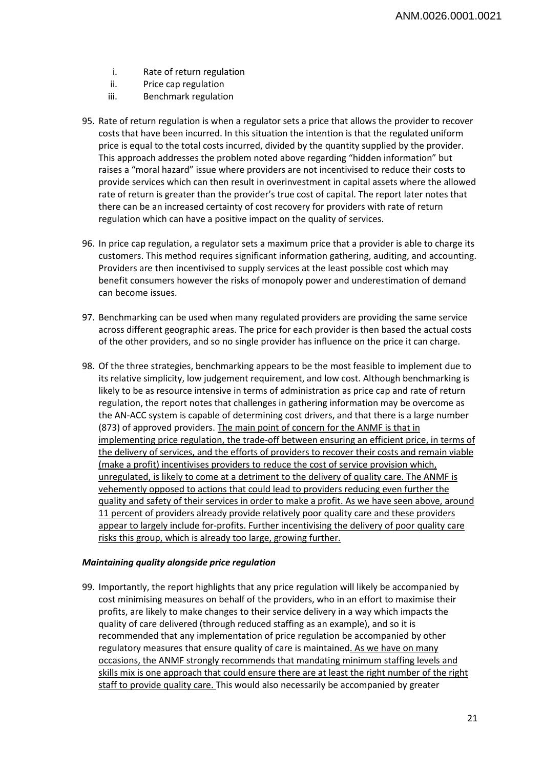- i. Rate of return regulation
- ii. Price cap regulation
- iii. Benchmark regulation
- 95. Rate of return regulation is when a regulator sets a price that allows the provider to recover costs that have been incurred. In this situation the intention is that the regulated uniform price is equal to the total costs incurred, divided by the quantity supplied by the provider. This approach addresses the problem noted above regarding "hidden information" but raises a "moral hazard" issue where providers are not incentivised to reduce their costs to provide services which can then result in overinvestment in capital assets where the allowed rate of return is greater than the provider's true cost of capital. The report later notes that there can be an increased certainty of cost recovery for providers with rate of return regulation which can have a positive impact on the quality of services.
- 96. In price cap regulation, a regulator sets a maximum price that a provider is able to charge its customers. This method requires significant information gathering, auditing, and accounting. Providers are then incentivised to supply services at the least possible cost which may benefit consumers however the risks of monopoly power and underestimation of demand can become issues.
- 97. Benchmarking can be used when many regulated providers are providing the same service across different geographic areas. The price for each provider is then based the actual costs of the other providers, and so no single provider has influence on the price it can charge.
- 98. Of the three strategies, benchmarking appears to be the most feasible to implement due to its relative simplicity, low judgement requirement, and low cost. Although benchmarking is likely to be as resource intensive in terms of administration as price cap and rate of return regulation, the report notes that challenges in gathering information may be overcome as the AN-ACC system is capable of determining cost drivers, and that there is a large number (873) of approved providers. The main point of concern for the ANMF is that in implementing price regulation, the trade-off between ensuring an efficient price, in terms of the delivery of services, and the efforts of providers to recover their costs and remain viable (make a profit) incentivises providers to reduce the cost of service provision which, unregulated, is likely to come at a detriment to the delivery of quality care. The ANMF is vehemently opposed to actions that could lead to providers reducing even further the quality and safety of their services in order to make a profit. As we have seen above, around 11 percent of providers already provide relatively poor quality care and these providers appear to largely include for-profits. Further incentivising the delivery of poor quality care risks this group, which is already too large, growing further.

#### *Maintaining quality alongside price regulation*

99. Importantly, the report highlights that any price regulation will likely be accompanied by cost minimising measures on behalf of the providers, who in an effort to maximise their profits, are likely to make changes to their service delivery in a way which impacts the quality of care delivered (through reduced staffing as an example), and so it is recommended that any implementation of price regulation be accompanied by other regulatory measures that ensure quality of care is maintained. As we have on many occasions, the ANMF strongly recommends that mandating minimum staffing levels and skills mix is one approach that could ensure there are at least the right number of the right staff to provide quality care. This would also necessarily be accompanied by greater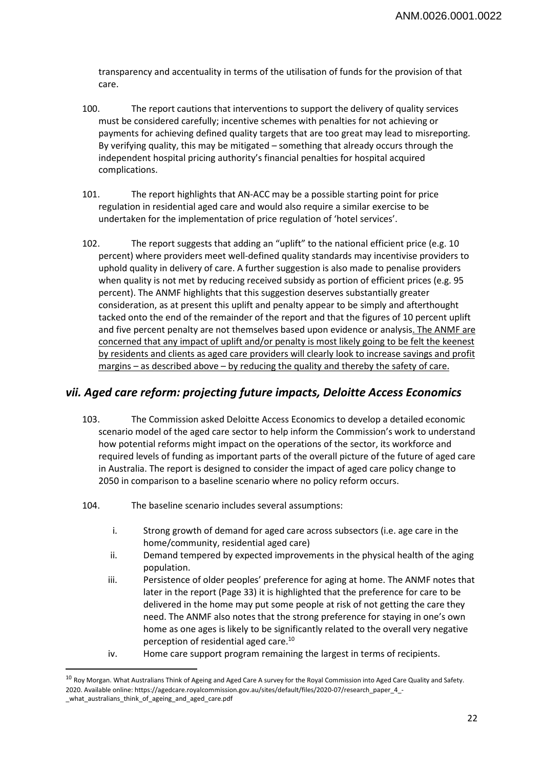transparency and accentuality in terms of the utilisation of funds for the provision of that care.

- 100. The report cautions that interventions to support the delivery of quality services must be considered carefully; incentive schemes with penalties for not achieving or payments for achieving defined quality targets that are too great may lead to misreporting. By verifying quality, this may be mitigated – something that already occurs through the independent hospital pricing authority's financial penalties for hospital acquired complications.
- 101. The report highlights that AN-ACC may be a possible starting point for price regulation in residential aged care and would also require a similar exercise to be undertaken for the implementation of price regulation of 'hotel services'.
- 102. The report suggests that adding an "uplift" to the national efficient price (e.g. 10 percent) where providers meet well-defined quality standards may incentivise providers to uphold quality in delivery of care. A further suggestion is also made to penalise providers when quality is not met by reducing received subsidy as portion of efficient prices (e.g. 95 percent). The ANMF highlights that this suggestion deserves substantially greater consideration, as at present this uplift and penalty appear to be simply and afterthought tacked onto the end of the remainder of the report and that the figures of 10 percent uplift and five percent penalty are not themselves based upon evidence or analysis. The ANMF are concerned that any impact of uplift and/or penalty is most likely going to be felt the keenest by residents and clients as aged care providers will clearly look to increase savings and profit margins – as described above – by reducing the quality and thereby the safety of care.

## *vii. Aged care reform: projecting future impacts, Deloitte Access Economics*

- 103. The Commission asked Deloitte Access Economics to develop a detailed economic scenario model of the aged care sector to help inform the Commission's work to understand how potential reforms might impact on the operations of the sector, its workforce and required levels of funding as important parts of the overall picture of the future of aged care in Australia. The report is designed to consider the impact of aged care policy change to 2050 in comparison to a baseline scenario where no policy reform occurs.
- 104. The baseline scenario includes several assumptions:

 $\overline{\phantom{a}}$ 

- i. Strong growth of demand for aged care across subsectors (i.e. age care in the home/community, residential aged care)
- ii. Demand tempered by expected improvements in the physical health of the aging population.
- iii. Persistence of older peoples' preference for aging at home. The ANMF notes that later in the report (Page 33) it is highlighted that the preference for care to be delivered in the home may put some people at risk of not getting the care they need. The ANMF also notes that the strong preference for staying in one's own home as one ages is likely to be significantly related to the overall very negative perception of residential aged care.10
- iv. Home care support program remaining the largest in terms of recipients.

<sup>&</sup>lt;sup>10</sup> Roy Morgan. What Australians Think of Ageing and Aged Care A survey for the Royal Commission into Aged Care Quality and Safety. 2020. Available online: https://agedcare.royalcommission.gov.au/sites/default/files/2020-07/research\_paper\_4\_- \_what\_australians\_think\_of\_ageing\_and\_aged\_care.pdf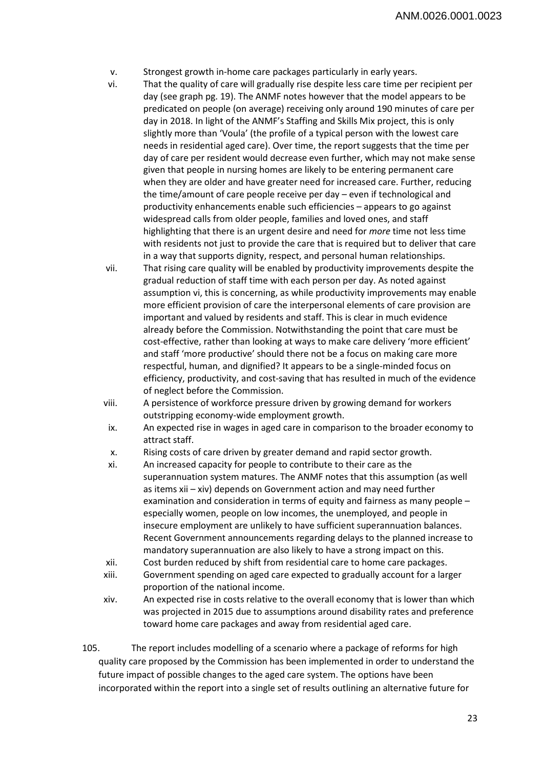- v. Strongest growth in-home care packages particularly in early years.
- vi. That the quality of care will gradually rise despite less care time per recipient per day (see graph pg. 19). The ANMF notes however that the model appears to be predicated on people (on average) receiving only around 190 minutes of care per day in 2018. In light of the ANMF's Staffing and Skills Mix project, this is only slightly more than 'Voula' (the profile of a typical person with the lowest care needs in residential aged care). Over time, the report suggests that the time per day of care per resident would decrease even further, which may not make sense given that people in nursing homes are likely to be entering permanent care when they are older and have greater need for increased care. Further, reducing the time/amount of care people receive per day – even if technological and productivity enhancements enable such efficiencies – appears to go against widespread calls from older people, families and loved ones, and staff highlighting that there is an urgent desire and need for *more* time not less time with residents not just to provide the care that is required but to deliver that care in a way that supports dignity, respect, and personal human relationships.
- vii. That rising care quality will be enabled by productivity improvements despite the gradual reduction of staff time with each person per day. As noted against assumption vi, this is concerning, as while productivity improvements may enable more efficient provision of care the interpersonal elements of care provision are important and valued by residents and staff. This is clear in much evidence already before the Commission. Notwithstanding the point that care must be cost-effective, rather than looking at ways to make care delivery 'more efficient' and staff 'more productive' should there not be a focus on making care more respectful, human, and dignified? It appears to be a single-minded focus on efficiency, productivity, and cost-saving that has resulted in much of the evidence of neglect before the Commission.
- viii. A persistence of workforce pressure driven by growing demand for workers outstripping economy-wide employment growth.
- ix. An expected rise in wages in aged care in comparison to the broader economy to attract staff.
- x. Rising costs of care driven by greater demand and rapid sector growth.
- xi. An increased capacity for people to contribute to their care as the superannuation system matures. The ANMF notes that this assumption (as well as items xii – xiv) depends on Government action and may need further examination and consideration in terms of equity and fairness as many people – especially women, people on low incomes, the unemployed, and people in insecure employment are unlikely to have sufficient superannuation balances. Recent Government announcements regarding delays to the planned increase to mandatory superannuation are also likely to have a strong impact on this.
- xii. Cost burden reduced by shift from residential care to home care packages.
- xiii. Government spending on aged care expected to gradually account for a larger proportion of the national income.
- xiv. An expected rise in costs relative to the overall economy that is lower than which was projected in 2015 due to assumptions around disability rates and preference toward home care packages and away from residential aged care.
- 105. The report includes modelling of a scenario where a package of reforms for high quality care proposed by the Commission has been implemented in order to understand the future impact of possible changes to the aged care system. The options have been incorporated within the report into a single set of results outlining an alternative future for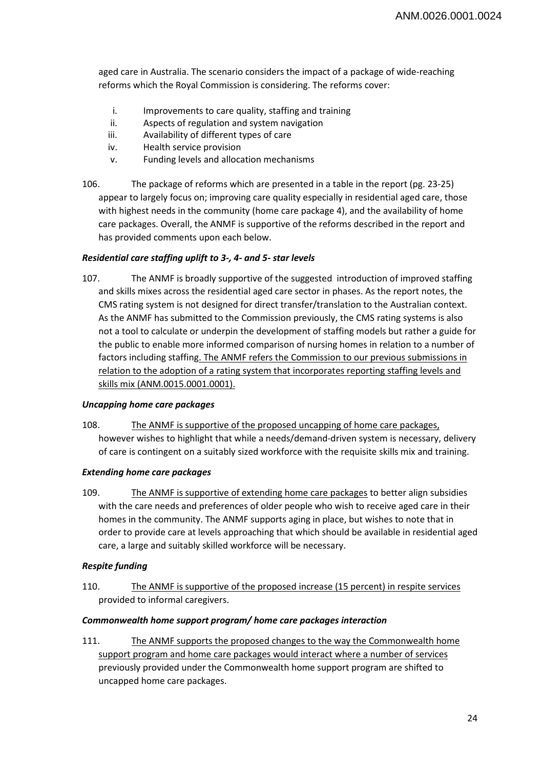aged care in Australia. The scenario considers the impact of a package of wide-reaching reforms which the Royal Commission is considering. The reforms cover:

- i. Improvements to care quality, staffing and training
- ii. Aspects of regulation and system navigation
- iii. Availability of different types of care
- iv. Health service provision
- v. Funding levels and allocation mechanisms
- 106. The package of reforms which are presented in a table in the report (pg. 23-25) appear to largely focus on; improving care quality especially in residential aged care, those with highest needs in the community (home care package 4), and the availability of home care packages. Overall, the ANMF is supportive of the reforms described in the report and has provided comments upon each below.

## *Residential care staffing uplift to 3-, 4- and 5- star levels*

107. The ANMF is broadly supportive of the suggested introduction of improved staffing and skills mixes across the residential aged care sector in phases. As the report notes, the CMS rating system is not designed for direct transfer/translation to the Australian context. As the ANMF has submitted to the Commission previously, the CMS rating systems is also not a tool to calculate or underpin the development of staffing models but rather a guide for the public to enable more informed comparison of nursing homes in relation to a number of factors including staffing. The ANMF refers the Commission to our previous submissions in relation to the adoption of a rating system that incorporates reporting staffing levels and skills mix (ANM.0015.0001.0001).

#### *Uncapping home care packages*

108. The ANMF is supportive of the proposed uncapping of home care packages, however wishes to highlight that while a needs/demand-driven system is necessary, delivery of care is contingent on a suitably sized workforce with the requisite skills mix and training.

## *Extending home care packages*

109. The ANMF is supportive of extending home care packages to better align subsidies with the care needs and preferences of older people who wish to receive aged care in their homes in the community. The ANMF supports aging in place, but wishes to note that in order to provide care at levels approaching that which should be available in residential aged care, a large and suitably skilled workforce will be necessary.

## *Respite funding*

110. The ANMF is supportive of the proposed increase (15 percent) in respite services provided to informal caregivers.

## *Commonwealth home support program/ home care packages interaction*

111. The ANMF supports the proposed changes to the way the Commonwealth home support program and home care packages would interact where a number of services previously provided under the Commonwealth home support program are shifted to uncapped home care packages.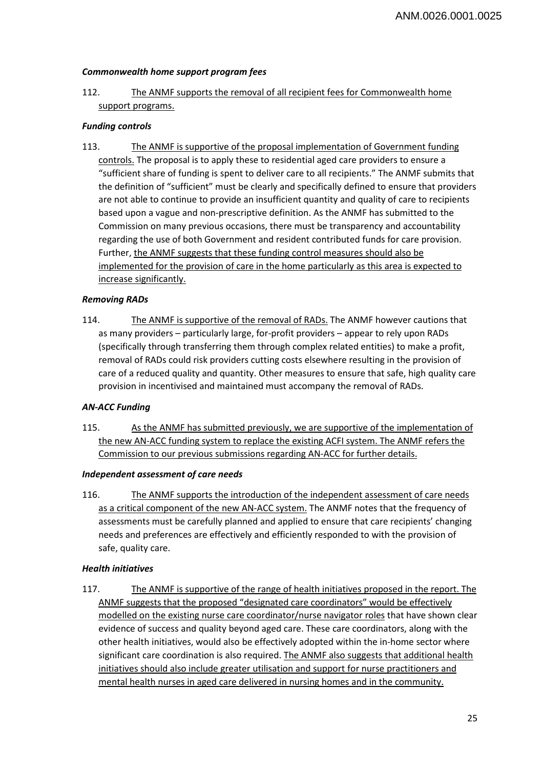## *Commonwealth home support program fees*

112. The ANMF supports the removal of all recipient fees for Commonwealth home support programs.

## *Funding controls*

113. The ANMF is supportive of the proposal implementation of Government funding controls. The proposal is to apply these to residential aged care providers to ensure a "sufficient share of funding is spent to deliver care to all recipients." The ANMF submits that the definition of "sufficient" must be clearly and specifically defined to ensure that providers are not able to continue to provide an insufficient quantity and quality of care to recipients based upon a vague and non-prescriptive definition. As the ANMF has submitted to the Commission on many previous occasions, there must be transparency and accountability regarding the use of both Government and resident contributed funds for care provision. Further, the ANMF suggests that these funding control measures should also be implemented for the provision of care in the home particularly as this area is expected to increase significantly.

## *Removing RADs*

114. The ANMF is supportive of the removal of RADs. The ANMF however cautions that as many providers – particularly large, for-profit providers – appear to rely upon RADs (specifically through transferring them through complex related entities) to make a profit, removal of RADs could risk providers cutting costs elsewhere resulting in the provision of care of a reduced quality and quantity. Other measures to ensure that safe, high quality care provision in incentivised and maintained must accompany the removal of RADs.

## *AN-ACC Funding*

115. As the ANMF has submitted previously, we are supportive of the implementation of the new AN-ACC funding system to replace the existing ACFI system. The ANMF refers the Commission to our previous submissions regarding AN-ACC for further details.

## *Independent assessment of care needs*

116. The ANMF supports the introduction of the independent assessment of care needs as a critical component of the new AN-ACC system. The ANMF notes that the frequency of assessments must be carefully planned and applied to ensure that care recipients' changing needs and preferences are effectively and efficiently responded to with the provision of safe, quality care.

## *Health initiatives*

117. The ANMF is supportive of the range of health initiatives proposed in the report. The ANMF suggests that the proposed "designated care coordinators" would be effectively modelled on the existing nurse care coordinator/nurse navigator roles that have shown clear evidence of success and quality beyond aged care. These care coordinators, along with the other health initiatives, would also be effectively adopted within the in-home sector where significant care coordination is also required. The ANMF also suggests that additional health initiatives should also include greater utilisation and support for nurse practitioners and mental health nurses in aged care delivered in nursing homes and in the community.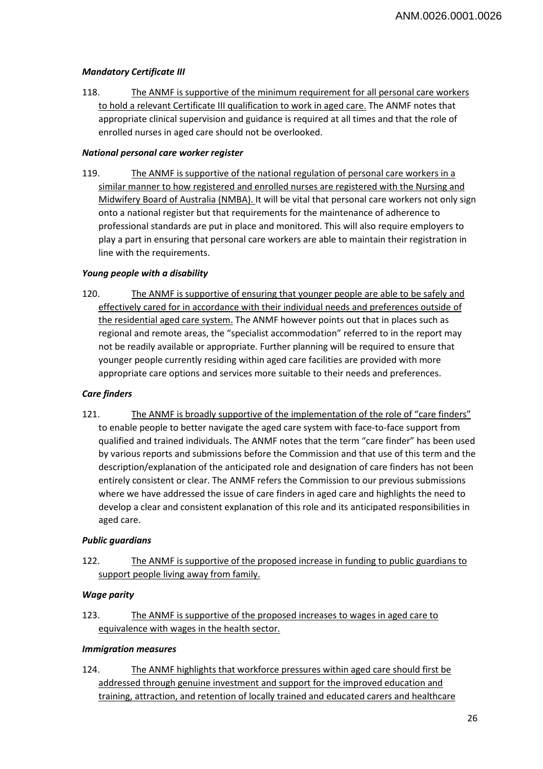## *Mandatory Certificate III*

118. The ANMF is supportive of the minimum requirement for all personal care workers to hold a relevant Certificate III qualification to work in aged care. The ANMF notes that appropriate clinical supervision and guidance is required at all times and that the role of enrolled nurses in aged care should not be overlooked.

## *National personal care worker register*

119. The ANMF is supportive of the national regulation of personal care workers in a similar manner to how registered and enrolled nurses are registered with the Nursing and Midwifery Board of Australia (NMBA). It will be vital that personal care workers not only sign onto a national register but that requirements for the maintenance of adherence to professional standards are put in place and monitored. This will also require employers to play a part in ensuring that personal care workers are able to maintain their registration in line with the requirements.

## *Young people with a disability*

120. The ANMF is supportive of ensuring that younger people are able to be safely and effectively cared for in accordance with their individual needs and preferences outside of the residential aged care system. The ANMF however points out that in places such as regional and remote areas, the "specialist accommodation" referred to in the report may not be readily available or appropriate. Further planning will be required to ensure that younger people currently residing within aged care facilities are provided with more appropriate care options and services more suitable to their needs and preferences.

## *Care finders*

121. The ANMF is broadly supportive of the implementation of the role of "care finders" to enable people to better navigate the aged care system with face-to-face support from qualified and trained individuals. The ANMF notes that the term "care finder" has been used by various reports and submissions before the Commission and that use of this term and the description/explanation of the anticipated role and designation of care finders has not been entirely consistent or clear. The ANMF refers the Commission to our previous submissions where we have addressed the issue of care finders in aged care and highlights the need to develop a clear and consistent explanation of this role and its anticipated responsibilities in aged care.

## *Public guardians*

122. The ANMF is supportive of the proposed increase in funding to public guardians to support people living away from family.

## *Wage parity*

123. The ANMF is supportive of the proposed increases to wages in aged care to equivalence with wages in the health sector.

## *Immigration measures*

124. The ANMF highlights that workforce pressures within aged care should first be addressed through genuine investment and support for the improved education and training, attraction, and retention of locally trained and educated carers and healthcare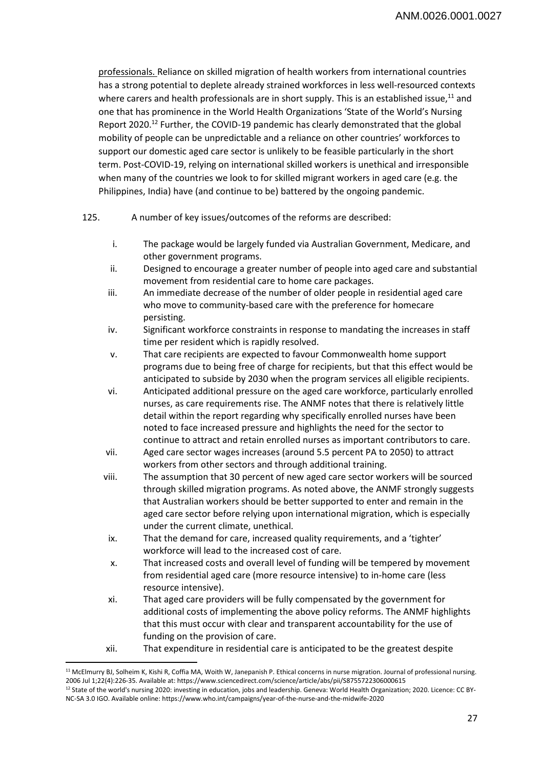professionals. Reliance on skilled migration of health workers from international countries has a strong potential to deplete already strained workforces in less well-resourced contexts where carers and health professionals are in short supply. This is an established issue, $^{11}$  and one that has prominence in the World Health Organizations 'State of the World's Nursing Report 2020.<sup>12</sup> Further, the COVID-19 pandemic has clearly demonstrated that the global mobility of people can be unpredictable and a reliance on other countries' workforces to support our domestic aged care sector is unlikely to be feasible particularly in the short term. Post-COVID-19, relying on international skilled workers is unethical and irresponsible when many of the countries we look to for skilled migrant workers in aged care (e.g. the Philippines, India) have (and continue to be) battered by the ongoing pandemic.

- 125. A number of key issues/outcomes of the reforms are described:
	- i. The package would be largely funded via Australian Government, Medicare, and other government programs.
	- ii. Designed to encourage a greater number of people into aged care and substantial movement from residential care to home care packages.
	- iii. An immediate decrease of the number of older people in residential aged care who move to community-based care with the preference for homecare persisting.
	- iv. Significant workforce constraints in response to mandating the increases in staff time per resident which is rapidly resolved.
	- v. That care recipients are expected to favour Commonwealth home support programs due to being free of charge for recipients, but that this effect would be anticipated to subside by 2030 when the program services all eligible recipients.
	- vi. Anticipated additional pressure on the aged care workforce, particularly enrolled nurses, as care requirements rise. The ANMF notes that there is relatively little detail within the report regarding why specifically enrolled nurses have been noted to face increased pressure and highlights the need for the sector to continue to attract and retain enrolled nurses as important contributors to care.
	- vii. Aged care sector wages increases (around 5.5 percent PA to 2050) to attract workers from other sectors and through additional training.
	- viii. The assumption that 30 percent of new aged care sector workers will be sourced through skilled migration programs. As noted above, the ANMF strongly suggests that Australian workers should be better supported to enter and remain in the aged care sector before relying upon international migration, which is especially under the current climate, unethical.
	- ix. That the demand for care, increased quality requirements, and a 'tighter' workforce will lead to the increased cost of care.
	- x. That increased costs and overall level of funding will be tempered by movement from residential aged care (more resource intensive) to in-home care (less resource intensive).
	- xi. That aged care providers will be fully compensated by the government for additional costs of implementing the above policy reforms. The ANMF highlights that this must occur with clear and transparent accountability for the use of funding on the provision of care.
	- xii. That expenditure in residential care is anticipated to be the greatest despite

l

<sup>&</sup>lt;sup>11</sup> McElmurry BJ, Solheim K, Kishi R, Coffia MA, Woith W, Janepanish P. Ethical concerns in nurse migration. Journal of professional nursing. 2006 Jul 1;22(4):226-35. Available at: https://www.sciencedirect.com/science/article/abs/pii/S8755722306000615<br><sup>12</sup> State of the world's nursing 2020: investing in education, jobs and leadership. Geneva: World Health Organ NC-SA 3.0 IGO. Available online: https://www.who.int/campaigns/year-of-the-nurse-and-the-midwife-2020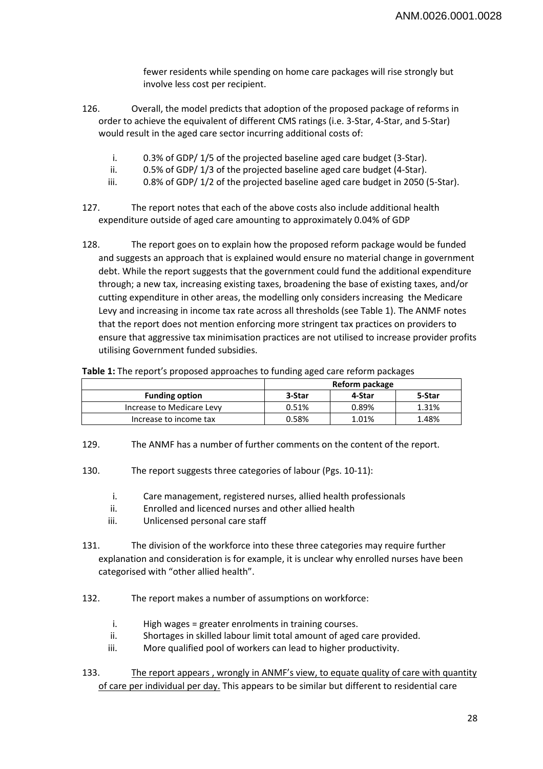fewer residents while spending on home care packages will rise strongly but involve less cost per recipient.

- 126. Overall, the model predicts that adoption of the proposed package of reforms in order to achieve the equivalent of different CMS ratings (i.e. 3-Star, 4-Star, and 5-Star) would result in the aged care sector incurring additional costs of:
	- i. 0.3% of GDP/ 1/5 of the projected baseline aged care budget (3-Star).
	- ii. 0.5% of GDP/ 1/3 of the projected baseline aged care budget (4-Star).
	- iii. 0.8% of GDP/ 1/2 of the projected baseline aged care budget in 2050 (5-Star).
- 127. The report notes that each of the above costs also include additional health expenditure outside of aged care amounting to approximately 0.04% of GDP
- 128. The report goes on to explain how the proposed reform package would be funded and suggests an approach that is explained would ensure no material change in government debt. While the report suggests that the government could fund the additional expenditure through; a new tax, increasing existing taxes, broadening the base of existing taxes, and/or cutting expenditure in other areas, the modelling only considers increasing the Medicare Levy and increasing in income tax rate across all thresholds (see Table 1). The ANMF notes that the report does not mention enforcing more stringent tax practices on providers to ensure that aggressive tax minimisation practices are not utilised to increase provider profits utilising Government funded subsidies.

**Table 1:** The report's proposed approaches to funding aged care reform packages

|                           | Reform package |        |        |
|---------------------------|----------------|--------|--------|
| <b>Funding option</b>     | 3-Star         | 4-Star | 5-Star |
| Increase to Medicare Levy | 0.51%          | 0.89%  | 1.31%  |
| Increase to income tax    | 0.58%          | 1.01%  | 1.48%  |

129. The ANMF has a number of further comments on the content of the report.

130. The report suggests three categories of labour (Pgs. 10-11):

- i. Care management, registered nurses, allied health professionals
- ii. Enrolled and licenced nurses and other allied health
- iii. Unlicensed personal care staff
- 131. The division of the workforce into these three categories may require further explanation and consideration is for example, it is unclear why enrolled nurses have been categorised with "other allied health".
- 132. The report makes a number of assumptions on workforce:
	- i. High wages = greater enrolments in training courses.
	- ii. Shortages in skilled labour limit total amount of aged care provided.
	- iii. More qualified pool of workers can lead to higher productivity.
- 133. The report appears, wrongly in ANMF's view, to equate quality of care with quantity of care per individual per day. This appears to be similar but different to residential care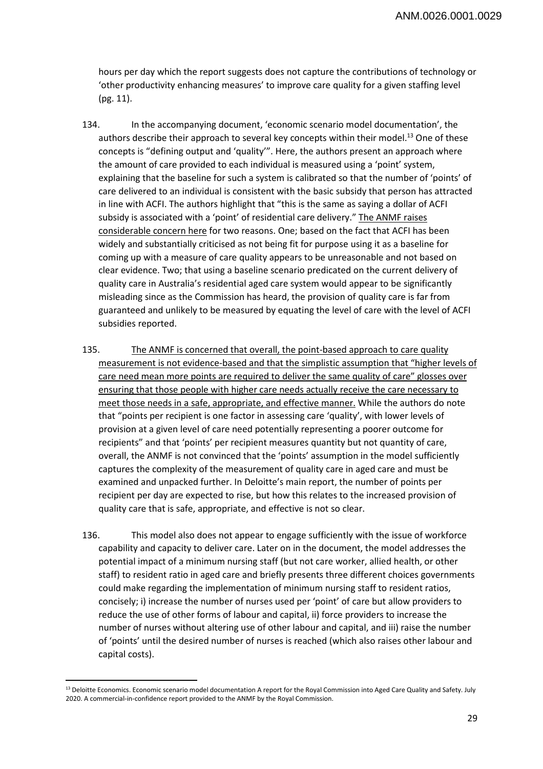hours per day which the report suggests does not capture the contributions of technology or 'other productivity enhancing measures' to improve care quality for a given staffing level (pg. 11).

- 134. In the accompanying document, 'economic scenario model documentation', the authors describe their approach to several key concepts within their model.<sup>13</sup> One of these concepts is "defining output and 'quality'". Here, the authors present an approach where the amount of care provided to each individual is measured using a 'point' system, explaining that the baseline for such a system is calibrated so that the number of 'points' of care delivered to an individual is consistent with the basic subsidy that person has attracted in line with ACFI. The authors highlight that "this is the same as saying a dollar of ACFI subsidy is associated with a 'point' of residential care delivery." The ANMF raises considerable concern here for two reasons. One; based on the fact that ACFI has been widely and substantially criticised as not being fit for purpose using it as a baseline for coming up with a measure of care quality appears to be unreasonable and not based on clear evidence. Two; that using a baseline scenario predicated on the current delivery of quality care in Australia's residential aged care system would appear to be significantly misleading since as the Commission has heard, the provision of quality care is far from guaranteed and unlikely to be measured by equating the level of care with the level of ACFI subsidies reported.
- 135. The ANMF is concerned that overall, the point-based approach to care quality measurement is not evidence-based and that the simplistic assumption that "higher levels of care need mean more points are required to deliver the same quality of care" glosses over ensuring that those people with higher care needs actually receive the care necessary to meet those needs in a safe, appropriate, and effective manner. While the authors do note that "points per recipient is one factor in assessing care 'quality', with lower levels of provision at a given level of care need potentially representing a poorer outcome for recipients" and that 'points' per recipient measures quantity but not quantity of care, overall, the ANMF is not convinced that the 'points' assumption in the model sufficiently captures the complexity of the measurement of quality care in aged care and must be examined and unpacked further. In Deloitte's main report, the number of points per recipient per day are expected to rise, but how this relates to the increased provision of quality care that is safe, appropriate, and effective is not so clear.
- 136. This model also does not appear to engage sufficiently with the issue of workforce capability and capacity to deliver care. Later on in the document, the model addresses the potential impact of a minimum nursing staff (but not care worker, allied health, or other staff) to resident ratio in aged care and briefly presents three different choices governments could make regarding the implementation of minimum nursing staff to resident ratios, concisely; i) increase the number of nurses used per 'point' of care but allow providers to reduce the use of other forms of labour and capital, ii) force providers to increase the number of nurses without altering use of other labour and capital, and iii) raise the number of 'points' until the desired number of nurses is reached (which also raises other labour and capital costs).

 $\overline{\phantom{a}}$ 

<sup>&</sup>lt;sup>13</sup> Deloitte Economics. Economic scenario model documentation A report for the Royal Commission into Aged Care Quality and Safety. July 2020. A commercial-in-confidence report provided to the ANMF by the Royal Commission.